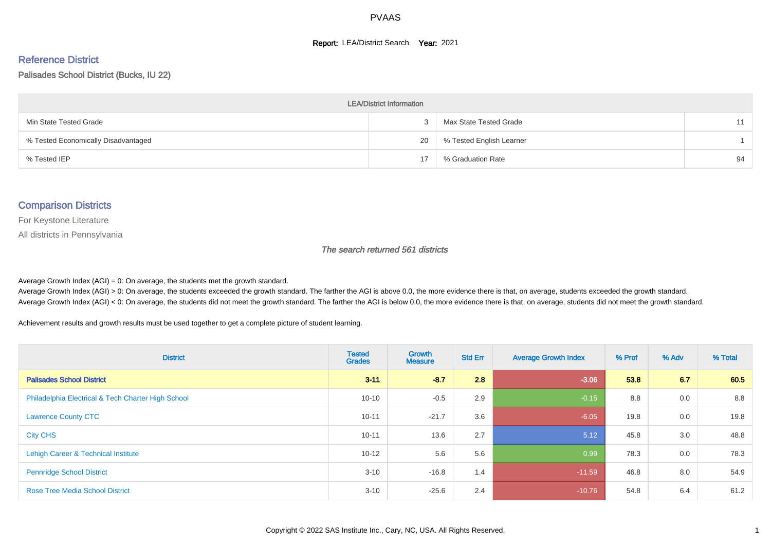#### **Report: LEA/District Search Year: 2021**

#### Reference District

#### Palisades School District (Bucks, IU 22)

| <b>LEA/District Information</b>     |    |                          |    |  |  |  |  |  |  |  |
|-------------------------------------|----|--------------------------|----|--|--|--|--|--|--|--|
| Min State Tested Grade              |    | Max State Tested Grade   | 11 |  |  |  |  |  |  |  |
| % Tested Economically Disadvantaged | 20 | % Tested English Learner |    |  |  |  |  |  |  |  |
| % Tested IEP                        | 17 | % Graduation Rate        | 94 |  |  |  |  |  |  |  |

#### Comparison Districts

For Keystone Literature

All districts in Pennsylvania

The search returned 561 districts

Average Growth Index  $(AGI) = 0$ : On average, the students met the growth standard.

Average Growth Index (AGI) > 0: On average, the students exceeded the growth standard. The farther the AGI is above 0.0, the more evidence there is that, on average, students exceeded the growth standard. Average Growth Index (AGI) < 0: On average, the students did not meet the growth standard. The farther the AGI is below 0.0, the more evidence there is that, on average, students did not meet the growth standard.

Achievement results and growth results must be used together to get a complete picture of student learning.

| <b>District</b>                                    | <b>Tested</b><br><b>Grades</b> | Growth<br><b>Measure</b> | <b>Std Err</b> | <b>Average Growth Index</b> | % Prof | % Adv | % Total |
|----------------------------------------------------|--------------------------------|--------------------------|----------------|-----------------------------|--------|-------|---------|
| <b>Palisades School District</b>                   | $3 - 11$                       | $-8.7$                   | 2.8            | $-3.06$                     | 53.8   | 6.7   | 60.5    |
| Philadelphia Electrical & Tech Charter High School | $10 - 10$                      | $-0.5$                   | 2.9            | $-0.15$                     | 8.8    | 0.0   | 8.8     |
| <b>Lawrence County CTC</b>                         | $10 - 11$                      | $-21.7$                  | 3.6            | $-6.05$                     | 19.8   | 0.0   | 19.8    |
| <b>City CHS</b>                                    | $10 - 11$                      | 13.6                     | 2.7            | 5.12                        | 45.8   | 3.0   | 48.8    |
| Lehigh Career & Technical Institute                | $10 - 12$                      | 5.6                      | 5.6            | 0.99                        | 78.3   | 0.0   | 78.3    |
| <b>Pennridge School District</b>                   | $3 - 10$                       | $-16.8$                  | 1.4            | $-11.59$                    | 46.8   | 8.0   | 54.9    |
| <b>Rose Tree Media School District</b>             | $3 - 10$                       | $-25.6$                  | 2.4            | $-10.76$                    | 54.8   | 6.4   | 61.2    |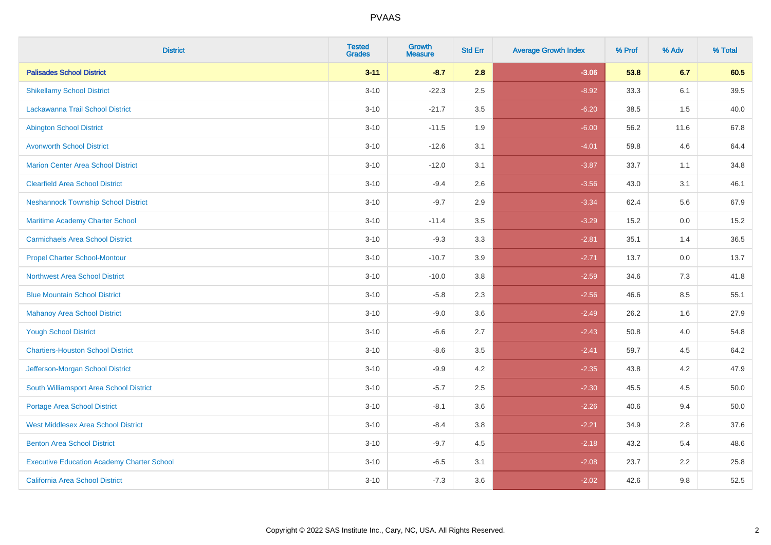| <b>District</b>                                   | <b>Tested</b><br><b>Grades</b> | <b>Growth</b><br><b>Measure</b> | <b>Std Err</b> | <b>Average Growth Index</b> | % Prof | % Adv | % Total |
|---------------------------------------------------|--------------------------------|---------------------------------|----------------|-----------------------------|--------|-------|---------|
| <b>Palisades School District</b>                  | $3 - 11$                       | $-8.7$                          | 2.8            | $-3.06$                     | 53.8   | 6.7   | 60.5    |
| <b>Shikellamy School District</b>                 | $3 - 10$                       | $-22.3$                         | 2.5            | $-8.92$                     | 33.3   | 6.1   | 39.5    |
| Lackawanna Trail School District                  | $3 - 10$                       | $-21.7$                         | 3.5            | $-6.20$                     | 38.5   | 1.5   | 40.0    |
| <b>Abington School District</b>                   | $3 - 10$                       | $-11.5$                         | 1.9            | $-6.00$                     | 56.2   | 11.6  | 67.8    |
| <b>Avonworth School District</b>                  | $3 - 10$                       | $-12.6$                         | 3.1            | $-4.01$                     | 59.8   | 4.6   | 64.4    |
| <b>Marion Center Area School District</b>         | $3 - 10$                       | $-12.0$                         | 3.1            | $-3.87$                     | 33.7   | 1.1   | 34.8    |
| <b>Clearfield Area School District</b>            | $3 - 10$                       | $-9.4$                          | 2.6            | $-3.56$                     | 43.0   | 3.1   | 46.1    |
| <b>Neshannock Township School District</b>        | $3 - 10$                       | $-9.7$                          | 2.9            | $-3.34$                     | 62.4   | 5.6   | 67.9    |
| Maritime Academy Charter School                   | $3 - 10$                       | $-11.4$                         | 3.5            | $-3.29$                     | 15.2   | 0.0   | 15.2    |
| <b>Carmichaels Area School District</b>           | $3 - 10$                       | $-9.3$                          | 3.3            | $-2.81$                     | 35.1   | 1.4   | 36.5    |
| <b>Propel Charter School-Montour</b>              | $3 - 10$                       | $-10.7$                         | 3.9            | $-2.71$                     | 13.7   | 0.0   | 13.7    |
| <b>Northwest Area School District</b>             | $3 - 10$                       | $-10.0$                         | 3.8            | $-2.59$                     | 34.6   | 7.3   | 41.8    |
| <b>Blue Mountain School District</b>              | $3 - 10$                       | $-5.8$                          | 2.3            | $-2.56$                     | 46.6   | 8.5   | 55.1    |
| <b>Mahanoy Area School District</b>               | $3 - 10$                       | $-9.0$                          | 3.6            | $-2.49$                     | 26.2   | 1.6   | 27.9    |
| <b>Yough School District</b>                      | $3 - 10$                       | $-6.6$                          | 2.7            | $-2.43$                     | 50.8   | 4.0   | 54.8    |
| <b>Chartiers-Houston School District</b>          | $3 - 10$                       | $-8.6$                          | 3.5            | $-2.41$                     | 59.7   | 4.5   | 64.2    |
| Jefferson-Morgan School District                  | $3 - 10$                       | $-9.9$                          | 4.2            | $-2.35$                     | 43.8   | 4.2   | 47.9    |
| South Williamsport Area School District           | $3 - 10$                       | $-5.7$                          | 2.5            | $-2.30$                     | 45.5   | 4.5   | 50.0    |
| Portage Area School District                      | $3 - 10$                       | $-8.1$                          | 3.6            | $-2.26$                     | 40.6   | 9.4   | 50.0    |
| <b>West Middlesex Area School District</b>        | $3 - 10$                       | $-8.4$                          | 3.8            | $-2.21$                     | 34.9   | 2.8   | 37.6    |
| <b>Benton Area School District</b>                | $3 - 10$                       | $-9.7$                          | 4.5            | $-2.18$                     | 43.2   | 5.4   | 48.6    |
| <b>Executive Education Academy Charter School</b> | $3 - 10$                       | $-6.5$                          | 3.1            | $-2.08$                     | 23.7   | 2.2   | 25.8    |
| California Area School District                   | $3 - 10$                       | $-7.3$                          | 3.6            | $-2.02$                     | 42.6   | 9.8   | 52.5    |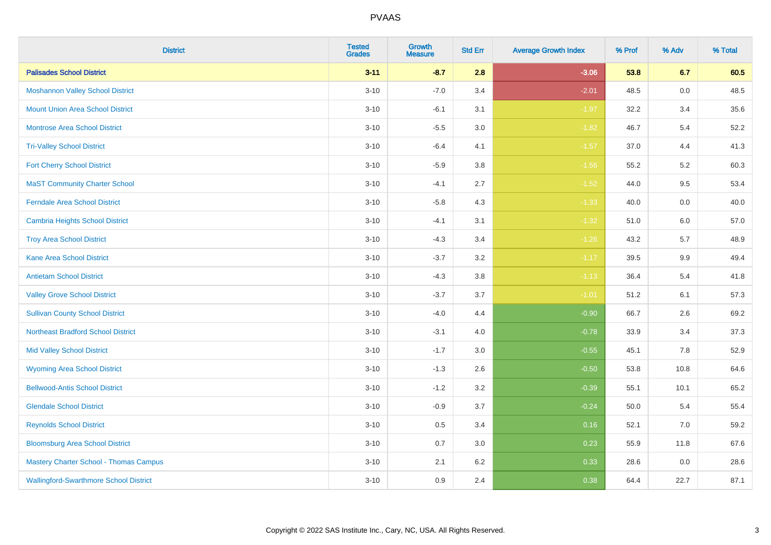| <b>District</b>                               | <b>Tested</b><br><b>Grades</b> | Growth<br><b>Measure</b> | <b>Std Err</b> | <b>Average Growth Index</b> | % Prof | % Adv | % Total |
|-----------------------------------------------|--------------------------------|--------------------------|----------------|-----------------------------|--------|-------|---------|
| <b>Palisades School District</b>              | $3 - 11$                       | $-8.7$                   | 2.8            | $-3.06$                     | 53.8   | 6.7   | 60.5    |
| <b>Moshannon Valley School District</b>       | $3 - 10$                       | $-7.0$                   | 3.4            | $-2.01$                     | 48.5   | 0.0   | 48.5    |
| <b>Mount Union Area School District</b>       | $3 - 10$                       | $-6.1$                   | 3.1            | $-1.97$                     | 32.2   | 3.4   | 35.6    |
| Montrose Area School District                 | $3 - 10$                       | $-5.5$                   | 3.0            | $-1.82$                     | 46.7   | $5.4$ | 52.2    |
| <b>Tri-Valley School District</b>             | $3 - 10$                       | $-6.4$                   | 4.1            | $-1.57$                     | 37.0   | 4.4   | 41.3    |
| <b>Fort Cherry School District</b>            | $3 - 10$                       | $-5.9$                   | 3.8            | $-1.56$                     | 55.2   | 5.2   | 60.3    |
| <b>MaST Community Charter School</b>          | $3 - 10$                       | $-4.1$                   | 2.7            | $-1.52$                     | 44.0   | 9.5   | 53.4    |
| <b>Ferndale Area School District</b>          | $3 - 10$                       | $-5.8$                   | 4.3            | $-1.33$                     | 40.0   | 0.0   | 40.0    |
| <b>Cambria Heights School District</b>        | $3 - 10$                       | $-4.1$                   | 3.1            | $-1.32$                     | 51.0   | 6.0   | 57.0    |
| <b>Troy Area School District</b>              | $3 - 10$                       | $-4.3$                   | 3.4            | $-1.26$                     | 43.2   | 5.7   | 48.9    |
| <b>Kane Area School District</b>              | $3 - 10$                       | $-3.7$                   | 3.2            | $-1.17$                     | 39.5   | 9.9   | 49.4    |
| <b>Antietam School District</b>               | $3 - 10$                       | $-4.3$                   | 3.8            | $-1.13$                     | 36.4   | 5.4   | 41.8    |
| <b>Valley Grove School District</b>           | $3 - 10$                       | $-3.7$                   | 3.7            | $-1.01$                     | 51.2   | 6.1   | 57.3    |
| <b>Sullivan County School District</b>        | $3 - 10$                       | $-4.0$                   | 4.4            | $-0.90$                     | 66.7   | 2.6   | 69.2    |
| <b>Northeast Bradford School District</b>     | $3 - 10$                       | $-3.1$                   | 4.0            | $-0.78$                     | 33.9   | 3.4   | 37.3    |
| <b>Mid Valley School District</b>             | $3 - 10$                       | $-1.7$                   | 3.0            | $-0.55$                     | 45.1   | 7.8   | 52.9    |
| <b>Wyoming Area School District</b>           | $3 - 10$                       | $-1.3$                   | 2.6            | $-0.50$                     | 53.8   | 10.8  | 64.6    |
| <b>Bellwood-Antis School District</b>         | $3 - 10$                       | $-1.2$                   | 3.2            | $-0.39$                     | 55.1   | 10.1  | 65.2    |
| <b>Glendale School District</b>               | $3 - 10$                       | $-0.9$                   | 3.7            | $-0.24$                     | 50.0   | 5.4   | 55.4    |
| <b>Reynolds School District</b>               | $3 - 10$                       | 0.5                      | 3.4            | 0.16                        | 52.1   | 7.0   | 59.2    |
| <b>Bloomsburg Area School District</b>        | $3 - 10$                       | 0.7                      | 3.0            | 0.23                        | 55.9   | 11.8  | 67.6    |
| <b>Mastery Charter School - Thomas Campus</b> | $3 - 10$                       | 2.1                      | 6.2            | 0.33                        | 28.6   | 0.0   | 28.6    |
| <b>Wallingford-Swarthmore School District</b> | $3 - 10$                       | 0.9                      | 2.4            | 0.38                        | 64.4   | 22.7  | 87.1    |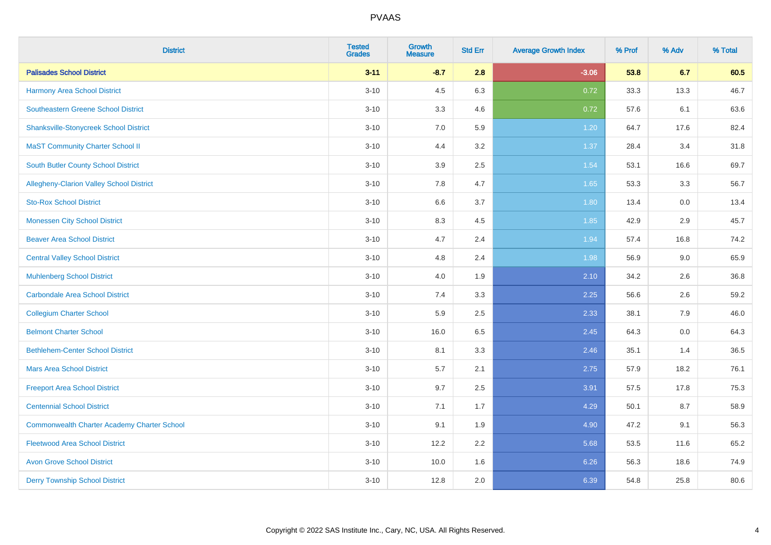| <b>District</b>                                    | <b>Tested</b><br><b>Grades</b> | <b>Growth</b><br><b>Measure</b> | <b>Std Err</b> | <b>Average Growth Index</b> | % Prof | % Adv | % Total |
|----------------------------------------------------|--------------------------------|---------------------------------|----------------|-----------------------------|--------|-------|---------|
| <b>Palisades School District</b>                   | $3 - 11$                       | $-8.7$                          | 2.8            | $-3.06$                     | 53.8   | 6.7   | 60.5    |
| <b>Harmony Area School District</b>                | $3 - 10$                       | 4.5                             | 6.3            | 0.72                        | 33.3   | 13.3  | 46.7    |
| <b>Southeastern Greene School District</b>         | $3 - 10$                       | 3.3                             | 4.6            | 0.72                        | 57.6   | 6.1   | 63.6    |
| <b>Shanksville-Stonycreek School District</b>      | $3 - 10$                       | $7.0\,$                         | 5.9            | 1.20                        | 64.7   | 17.6  | 82.4    |
| <b>MaST Community Charter School II</b>            | $3 - 10$                       | 4.4                             | 3.2            | 1.37                        | 28.4   | 3.4   | 31.8    |
| <b>South Butler County School District</b>         | $3 - 10$                       | 3.9                             | 2.5            | 1.54                        | 53.1   | 16.6  | 69.7    |
| Allegheny-Clarion Valley School District           | $3 - 10$                       | 7.8                             | 4.7            | 1.65                        | 53.3   | 3.3   | 56.7    |
| <b>Sto-Rox School District</b>                     | $3 - 10$                       | 6.6                             | 3.7            | 1.80                        | 13.4   | 0.0   | 13.4    |
| <b>Monessen City School District</b>               | $3 - 10$                       | 8.3                             | 4.5            | 1.85                        | 42.9   | 2.9   | 45.7    |
| <b>Beaver Area School District</b>                 | $3 - 10$                       | 4.7                             | 2.4            | 1.94                        | 57.4   | 16.8  | 74.2    |
| <b>Central Valley School District</b>              | $3 - 10$                       | 4.8                             | 2.4            | 1.98                        | 56.9   | 9.0   | 65.9    |
| <b>Muhlenberg School District</b>                  | $3 - 10$                       | 4.0                             | 1.9            | 2.10                        | 34.2   | 2.6   | 36.8    |
| <b>Carbondale Area School District</b>             | $3 - 10$                       | 7.4                             | 3.3            | 2.25                        | 56.6   | 2.6   | 59.2    |
| <b>Collegium Charter School</b>                    | $3 - 10$                       | 5.9                             | 2.5            | 2.33                        | 38.1   | 7.9   | 46.0    |
| <b>Belmont Charter School</b>                      | $3 - 10$                       | 16.0                            | 6.5            | 2.45                        | 64.3   | 0.0   | 64.3    |
| <b>Bethlehem-Center School District</b>            | $3 - 10$                       | 8.1                             | 3.3            | 2.46                        | 35.1   | 1.4   | 36.5    |
| <b>Mars Area School District</b>                   | $3 - 10$                       | 5.7                             | 2.1            | 2.75                        | 57.9   | 18.2  | 76.1    |
| <b>Freeport Area School District</b>               | $3 - 10$                       | 9.7                             | 2.5            | 3.91                        | 57.5   | 17.8  | 75.3    |
| <b>Centennial School District</b>                  | $3 - 10$                       | 7.1                             | 1.7            | 4.29                        | 50.1   | 8.7   | 58.9    |
| <b>Commonwealth Charter Academy Charter School</b> | $3 - 10$                       | 9.1                             | 1.9            | 4.90                        | 47.2   | 9.1   | 56.3    |
| <b>Fleetwood Area School District</b>              | $3 - 10$                       | 12.2                            | 2.2            | 5.68                        | 53.5   | 11.6  | 65.2    |
| <b>Avon Grove School District</b>                  | $3 - 10$                       | 10.0                            | 1.6            | 6.26                        | 56.3   | 18.6  | 74.9    |
| <b>Derry Township School District</b>              | $3 - 10$                       | 12.8                            | 2.0            | 6.39                        | 54.8   | 25.8  | 80.6    |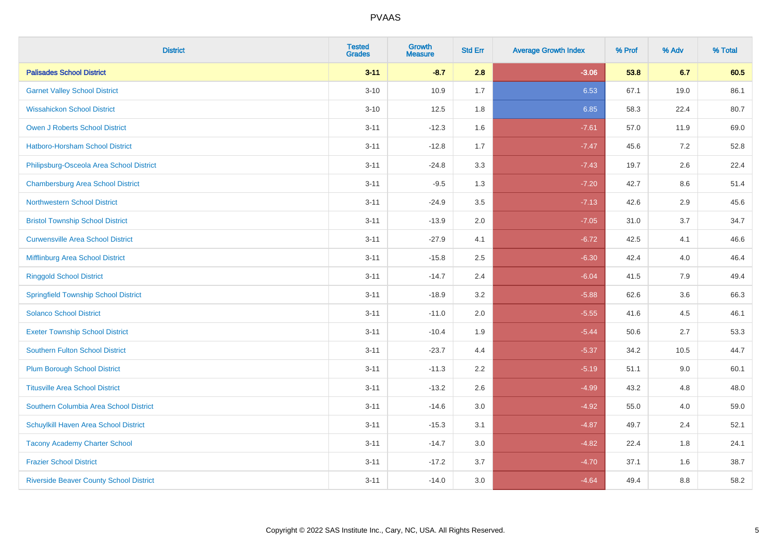| <b>District</b>                                | <b>Tested</b><br><b>Grades</b> | Growth<br><b>Measure</b> | <b>Std Err</b> | <b>Average Growth Index</b> | % Prof | % Adv   | % Total |
|------------------------------------------------|--------------------------------|--------------------------|----------------|-----------------------------|--------|---------|---------|
| <b>Palisades School District</b>               | $3 - 11$                       | $-8.7$                   | 2.8            | $-3.06$                     | 53.8   | 6.7     | 60.5    |
| <b>Garnet Valley School District</b>           | $3 - 10$                       | 10.9                     | 1.7            | 6.53                        | 67.1   | 19.0    | 86.1    |
| <b>Wissahickon School District</b>             | $3 - 10$                       | 12.5                     | 1.8            | 6.85                        | 58.3   | 22.4    | 80.7    |
| Owen J Roberts School District                 | $3 - 11$                       | $-12.3$                  | 1.6            | $-7.61$                     | 57.0   | 11.9    | 69.0    |
| <b>Hatboro-Horsham School District</b>         | $3 - 11$                       | $-12.8$                  | 1.7            | $-7.47$                     | 45.6   | 7.2     | 52.8    |
| Philipsburg-Osceola Area School District       | $3 - 11$                       | $-24.8$                  | 3.3            | $-7.43$                     | 19.7   | 2.6     | 22.4    |
| <b>Chambersburg Area School District</b>       | $3 - 11$                       | $-9.5$                   | 1.3            | $-7.20$                     | 42.7   | $8.6\,$ | 51.4    |
| <b>Northwestern School District</b>            | $3 - 11$                       | $-24.9$                  | 3.5            | $-7.13$                     | 42.6   | 2.9     | 45.6    |
| <b>Bristol Township School District</b>        | $3 - 11$                       | $-13.9$                  | 2.0            | $-7.05$                     | 31.0   | 3.7     | 34.7    |
| <b>Curwensville Area School District</b>       | $3 - 11$                       | $-27.9$                  | 4.1            | $-6.72$                     | 42.5   | 4.1     | 46.6    |
| Mifflinburg Area School District               | $3 - 11$                       | $-15.8$                  | 2.5            | $-6.30$                     | 42.4   | 4.0     | 46.4    |
| <b>Ringgold School District</b>                | $3 - 11$                       | $-14.7$                  | 2.4            | $-6.04$                     | 41.5   | 7.9     | 49.4    |
| <b>Springfield Township School District</b>    | $3 - 11$                       | $-18.9$                  | 3.2            | $-5.88$                     | 62.6   | 3.6     | 66.3    |
| <b>Solanco School District</b>                 | $3 - 11$                       | $-11.0$                  | 2.0            | $-5.55$                     | 41.6   | 4.5     | 46.1    |
| <b>Exeter Township School District</b>         | $3 - 11$                       | $-10.4$                  | 1.9            | $-5.44$                     | 50.6   | 2.7     | 53.3    |
| <b>Southern Fulton School District</b>         | $3 - 11$                       | $-23.7$                  | 4.4            | $-5.37$                     | 34.2   | 10.5    | 44.7    |
| <b>Plum Borough School District</b>            | $3 - 11$                       | $-11.3$                  | 2.2            | $-5.19$                     | 51.1   | 9.0     | 60.1    |
| <b>Titusville Area School District</b>         | $3 - 11$                       | $-13.2$                  | 2.6            | $-4.99$                     | 43.2   | 4.8     | 48.0    |
| Southern Columbia Area School District         | $3 - 11$                       | $-14.6$                  | 3.0            | $-4.92$                     | 55.0   | 4.0     | 59.0    |
| Schuylkill Haven Area School District          | $3 - 11$                       | $-15.3$                  | 3.1            | $-4.87$                     | 49.7   | 2.4     | 52.1    |
| <b>Tacony Academy Charter School</b>           | $3 - 11$                       | $-14.7$                  | 3.0            | $-4.82$                     | 22.4   | 1.8     | 24.1    |
| <b>Frazier School District</b>                 | $3 - 11$                       | $-17.2$                  | 3.7            | $-4.70$                     | 37.1   | 1.6     | 38.7    |
| <b>Riverside Beaver County School District</b> | $3 - 11$                       | $-14.0$                  | 3.0            | $-4.64$                     | 49.4   | 8.8     | 58.2    |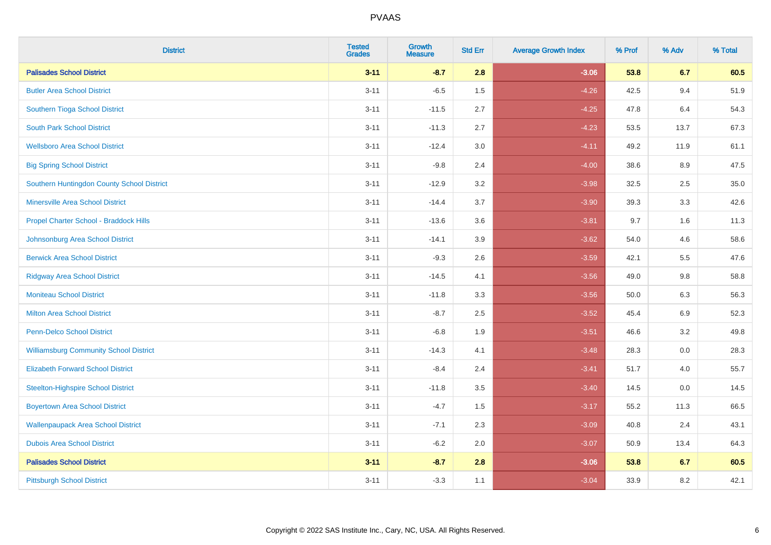| <b>District</b>                               | <b>Tested</b><br><b>Grades</b> | Growth<br><b>Measure</b> | <b>Std Err</b> | <b>Average Growth Index</b> | % Prof | % Adv | % Total |
|-----------------------------------------------|--------------------------------|--------------------------|----------------|-----------------------------|--------|-------|---------|
| <b>Palisades School District</b>              | $3 - 11$                       | $-8.7$                   | 2.8            | $-3.06$                     | 53.8   | 6.7   | 60.5    |
| <b>Butler Area School District</b>            | $3 - 11$                       | $-6.5$                   | 1.5            | $-4.26$                     | 42.5   | 9.4   | 51.9    |
| Southern Tioga School District                | $3 - 11$                       | $-11.5$                  | 2.7            | $-4.25$                     | 47.8   | 6.4   | 54.3    |
| <b>South Park School District</b>             | $3 - 11$                       | $-11.3$                  | 2.7            | $-4.23$                     | 53.5   | 13.7  | 67.3    |
| <b>Wellsboro Area School District</b>         | $3 - 11$                       | $-12.4$                  | 3.0            | $-4.11$                     | 49.2   | 11.9  | 61.1    |
| <b>Big Spring School District</b>             | $3 - 11$                       | $-9.8$                   | 2.4            | $-4.00$                     | 38.6   | 8.9   | 47.5    |
| Southern Huntingdon County School District    | $3 - 11$                       | $-12.9$                  | 3.2            | $-3.98$                     | 32.5   | 2.5   | 35.0    |
| <b>Minersville Area School District</b>       | $3 - 11$                       | $-14.4$                  | 3.7            | $-3.90$                     | 39.3   | 3.3   | 42.6    |
| Propel Charter School - Braddock Hills        | $3 - 11$                       | $-13.6$                  | 3.6            | $-3.81$                     | 9.7    | 1.6   | 11.3    |
| Johnsonburg Area School District              | $3 - 11$                       | $-14.1$                  | 3.9            | $-3.62$                     | 54.0   | 4.6   | 58.6    |
| <b>Berwick Area School District</b>           | $3 - 11$                       | $-9.3$                   | 2.6            | $-3.59$                     | 42.1   | 5.5   | 47.6    |
| <b>Ridgway Area School District</b>           | $3 - 11$                       | $-14.5$                  | 4.1            | $-3.56$                     | 49.0   | 9.8   | 58.8    |
| <b>Moniteau School District</b>               | $3 - 11$                       | $-11.8$                  | 3.3            | $-3.56$                     | 50.0   | 6.3   | 56.3    |
| <b>Milton Area School District</b>            | $3 - 11$                       | $-8.7$                   | 2.5            | $-3.52$                     | 45.4   | 6.9   | 52.3    |
| <b>Penn-Delco School District</b>             | $3 - 11$                       | $-6.8$                   | 1.9            | $-3.51$                     | 46.6   | 3.2   | 49.8    |
| <b>Williamsburg Community School District</b> | $3 - 11$                       | $-14.3$                  | 4.1            | $-3.48$                     | 28.3   | 0.0   | 28.3    |
| <b>Elizabeth Forward School District</b>      | $3 - 11$                       | $-8.4$                   | 2.4            | $-3.41$                     | 51.7   | 4.0   | 55.7    |
| <b>Steelton-Highspire School District</b>     | $3 - 11$                       | $-11.8$                  | 3.5            | $-3.40$                     | 14.5   | 0.0   | 14.5    |
| <b>Boyertown Area School District</b>         | $3 - 11$                       | $-4.7$                   | 1.5            | $-3.17$                     | 55.2   | 11.3  | 66.5    |
| <b>Wallenpaupack Area School District</b>     | $3 - 11$                       | $-7.1$                   | 2.3            | $-3.09$                     | 40.8   | 2.4   | 43.1    |
| <b>Dubois Area School District</b>            | $3 - 11$                       | $-6.2$                   | 2.0            | $-3.07$                     | 50.9   | 13.4  | 64.3    |
| <b>Palisades School District</b>              | $3 - 11$                       | $-8.7$                   | 2.8            | $-3.06$                     | 53.8   | 6.7   | 60.5    |
| <b>Pittsburgh School District</b>             | $3 - 11$                       | $-3.3$                   | 1.1            | $-3.04$                     | 33.9   | 8.2   | 42.1    |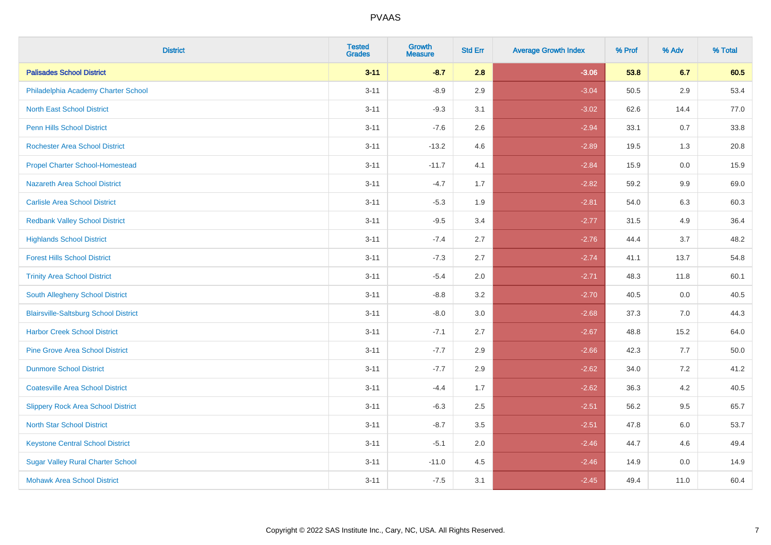| <b>District</b>                              | <b>Tested</b><br><b>Grades</b> | <b>Growth</b><br><b>Measure</b> | <b>Std Err</b> | <b>Average Growth Index</b> | % Prof | % Adv | % Total |
|----------------------------------------------|--------------------------------|---------------------------------|----------------|-----------------------------|--------|-------|---------|
| <b>Palisades School District</b>             | $3 - 11$                       | $-8.7$                          | 2.8            | $-3.06$                     | 53.8   | 6.7   | 60.5    |
| Philadelphia Academy Charter School          | $3 - 11$                       | $-8.9$                          | 2.9            | $-3.04$                     | 50.5   | 2.9   | 53.4    |
| <b>North East School District</b>            | $3 - 11$                       | $-9.3$                          | 3.1            | $-3.02$                     | 62.6   | 14.4  | 77.0    |
| <b>Penn Hills School District</b>            | $3 - 11$                       | $-7.6$                          | 2.6            | $-2.94$                     | 33.1   | 0.7   | 33.8    |
| <b>Rochester Area School District</b>        | $3 - 11$                       | $-13.2$                         | 4.6            | $-2.89$                     | 19.5   | 1.3   | 20.8    |
| <b>Propel Charter School-Homestead</b>       | $3 - 11$                       | $-11.7$                         | 4.1            | $-2.84$                     | 15.9   | 0.0   | 15.9    |
| Nazareth Area School District                | $3 - 11$                       | $-4.7$                          | 1.7            | $-2.82$                     | 59.2   | 9.9   | 69.0    |
| <b>Carlisle Area School District</b>         | $3 - 11$                       | $-5.3$                          | 1.9            | $-2.81$                     | 54.0   | 6.3   | 60.3    |
| <b>Redbank Valley School District</b>        | $3 - 11$                       | $-9.5$                          | 3.4            | $-2.77$                     | 31.5   | 4.9   | 36.4    |
| <b>Highlands School District</b>             | $3 - 11$                       | $-7.4$                          | 2.7            | $-2.76$                     | 44.4   | 3.7   | 48.2    |
| <b>Forest Hills School District</b>          | $3 - 11$                       | $-7.3$                          | 2.7            | $-2.74$                     | 41.1   | 13.7  | 54.8    |
| <b>Trinity Area School District</b>          | $3 - 11$                       | $-5.4$                          | 2.0            | $-2.71$                     | 48.3   | 11.8  | 60.1    |
| South Allegheny School District              | $3 - 11$                       | $-8.8$                          | 3.2            | $-2.70$                     | 40.5   | 0.0   | 40.5    |
| <b>Blairsville-Saltsburg School District</b> | $3 - 11$                       | $-8.0$                          | 3.0            | $-2.68$                     | 37.3   | 7.0   | 44.3    |
| <b>Harbor Creek School District</b>          | $3 - 11$                       | $-7.1$                          | 2.7            | $-2.67$                     | 48.8   | 15.2  | 64.0    |
| <b>Pine Grove Area School District</b>       | $3 - 11$                       | $-7.7$                          | 2.9            | $-2.66$                     | 42.3   | 7.7   | 50.0    |
| <b>Dunmore School District</b>               | $3 - 11$                       | $-7.7$                          | 2.9            | $-2.62$                     | 34.0   | 7.2   | 41.2    |
| <b>Coatesville Area School District</b>      | $3 - 11$                       | $-4.4$                          | 1.7            | $-2.62$                     | 36.3   | 4.2   | 40.5    |
| <b>Slippery Rock Area School District</b>    | $3 - 11$                       | $-6.3$                          | 2.5            | $-2.51$                     | 56.2   | 9.5   | 65.7    |
| <b>North Star School District</b>            | $3 - 11$                       | $-8.7$                          | 3.5            | $-2.51$                     | 47.8   | 6.0   | 53.7    |
| <b>Keystone Central School District</b>      | $3 - 11$                       | $-5.1$                          | 2.0            | $-2.46$                     | 44.7   | 4.6   | 49.4    |
| <b>Sugar Valley Rural Charter School</b>     | $3 - 11$                       | $-11.0$                         | 4.5            | $-2.46$                     | 14.9   | 0.0   | 14.9    |
| <b>Mohawk Area School District</b>           | $3 - 11$                       | $-7.5$                          | 3.1            | $-2.45$                     | 49.4   | 11.0  | 60.4    |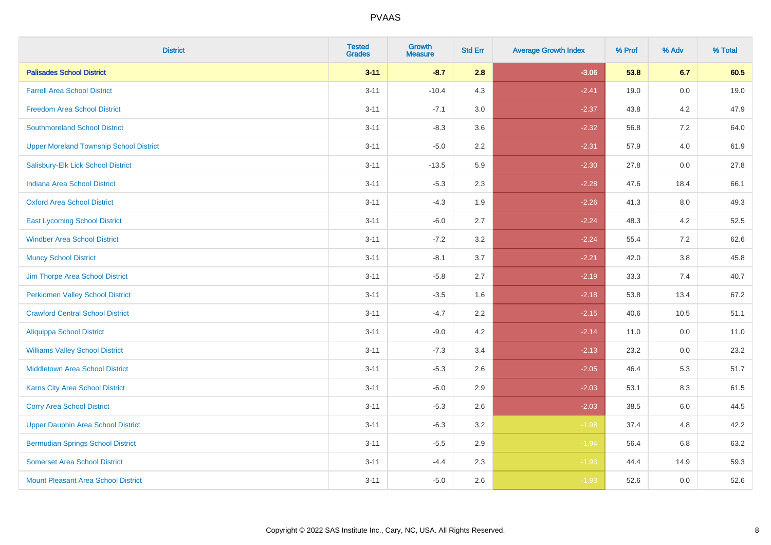| <b>District</b>                                | <b>Tested</b><br><b>Grades</b> | <b>Growth</b><br><b>Measure</b> | <b>Std Err</b> | <b>Average Growth Index</b> | % Prof | % Adv | % Total |
|------------------------------------------------|--------------------------------|---------------------------------|----------------|-----------------------------|--------|-------|---------|
| <b>Palisades School District</b>               | $3 - 11$                       | $-8.7$                          | 2.8            | $-3.06$                     | 53.8   | 6.7   | 60.5    |
| <b>Farrell Area School District</b>            | $3 - 11$                       | $-10.4$                         | 4.3            | $-2.41$                     | 19.0   | 0.0   | 19.0    |
| <b>Freedom Area School District</b>            | $3 - 11$                       | $-7.1$                          | 3.0            | $-2.37$                     | 43.8   | 4.2   | 47.9    |
| <b>Southmoreland School District</b>           | $3 - 11$                       | $-8.3$                          | 3.6            | $-2.32$                     | 56.8   | 7.2   | 64.0    |
| <b>Upper Moreland Township School District</b> | $3 - 11$                       | $-5.0$                          | 2.2            | $-2.31$                     | 57.9   | 4.0   | 61.9    |
| Salisbury-Elk Lick School District             | $3 - 11$                       | $-13.5$                         | 5.9            | $-2.30$                     | 27.8   | 0.0   | 27.8    |
| Indiana Area School District                   | $3 - 11$                       | $-5.3$                          | 2.3            | $-2.28$                     | 47.6   | 18.4  | 66.1    |
| <b>Oxford Area School District</b>             | $3 - 11$                       | $-4.3$                          | 1.9            | $-2.26$                     | 41.3   | 8.0   | 49.3    |
| <b>East Lycoming School District</b>           | $3 - 11$                       | $-6.0$                          | 2.7            | $-2.24$                     | 48.3   | 4.2   | 52.5    |
| <b>Windber Area School District</b>            | $3 - 11$                       | $-7.2$                          | 3.2            | $-2.24$                     | 55.4   | 7.2   | 62.6    |
| <b>Muncy School District</b>                   | $3 - 11$                       | $-8.1$                          | 3.7            | $-2.21$                     | 42.0   | 3.8   | 45.8    |
| Jim Thorpe Area School District                | $3 - 11$                       | $-5.8$                          | 2.7            | $-2.19$                     | 33.3   | 7.4   | 40.7    |
| <b>Perkiomen Valley School District</b>        | $3 - 11$                       | $-3.5$                          | 1.6            | $-2.18$                     | 53.8   | 13.4  | 67.2    |
| <b>Crawford Central School District</b>        | $3 - 11$                       | $-4.7$                          | 2.2            | $-2.15$                     | 40.6   | 10.5  | 51.1    |
| <b>Aliquippa School District</b>               | $3 - 11$                       | $-9.0$                          | 4.2            | $-2.14$                     | 11.0   | 0.0   | 11.0    |
| <b>Williams Valley School District</b>         | $3 - 11$                       | $-7.3$                          | 3.4            | $-2.13$                     | 23.2   | 0.0   | 23.2    |
| <b>Middletown Area School District</b>         | $3 - 11$                       | $-5.3$                          | 2.6            | $-2.05$                     | 46.4   | 5.3   | 51.7    |
| <b>Karns City Area School District</b>         | $3 - 11$                       | $-6.0$                          | 2.9            | $-2.03$                     | 53.1   | 8.3   | 61.5    |
| <b>Corry Area School District</b>              | $3 - 11$                       | $-5.3$                          | 2.6            | $-2.03$                     | 38.5   | 6.0   | 44.5    |
| <b>Upper Dauphin Area School District</b>      | $3 - 11$                       | $-6.3$                          | 3.2            | $-1.98$                     | 37.4   | 4.8   | 42.2    |
| <b>Bermudian Springs School District</b>       | $3 - 11$                       | $-5.5$                          | 2.9            | $-1.94$                     | 56.4   | 6.8   | 63.2    |
| <b>Somerset Area School District</b>           | $3 - 11$                       | $-4.4$                          | 2.3            | $-1.93$                     | 44.4   | 14.9  | 59.3    |
| <b>Mount Pleasant Area School District</b>     | $3 - 11$                       | $-5.0$                          | 2.6            | $-1.93$                     | 52.6   | 0.0   | 52.6    |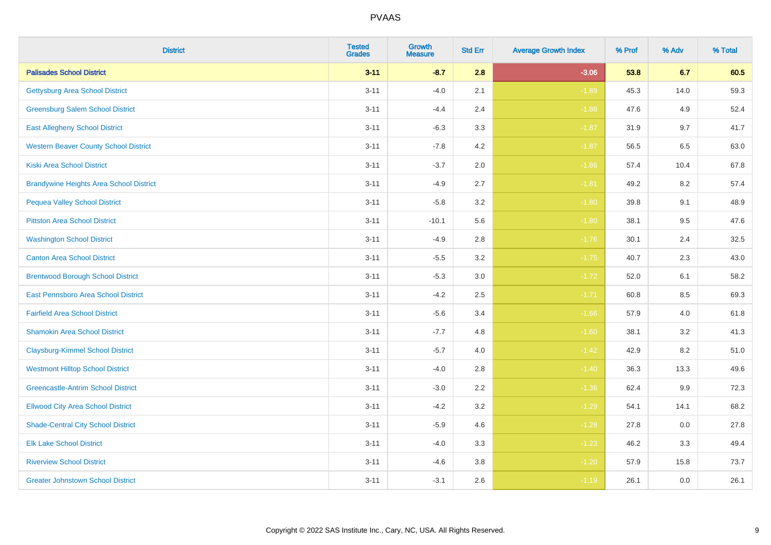| <b>District</b>                                | <b>Tested</b><br><b>Grades</b> | <b>Growth</b><br><b>Measure</b> | <b>Std Err</b> | <b>Average Growth Index</b> | % Prof | % Adv   | % Total |
|------------------------------------------------|--------------------------------|---------------------------------|----------------|-----------------------------|--------|---------|---------|
| <b>Palisades School District</b>               | $3 - 11$                       | $-8.7$                          | 2.8            | $-3.06$                     | 53.8   | 6.7     | 60.5    |
| <b>Gettysburg Area School District</b>         | $3 - 11$                       | $-4.0$                          | 2.1            | $-1.89$                     | 45.3   | 14.0    | 59.3    |
| <b>Greensburg Salem School District</b>        | $3 - 11$                       | $-4.4$                          | 2.4            | $-1.88$                     | 47.6   | 4.9     | 52.4    |
| <b>East Allegheny School District</b>          | $3 - 11$                       | $-6.3$                          | 3.3            | $-1.87$                     | 31.9   | 9.7     | 41.7    |
| <b>Western Beaver County School District</b>   | $3 - 11$                       | $-7.8$                          | 4.2            | $-1.87$                     | 56.5   | 6.5     | 63.0    |
| <b>Kiski Area School District</b>              | $3 - 11$                       | $-3.7$                          | 2.0            | $-1.86$                     | 57.4   | 10.4    | 67.8    |
| <b>Brandywine Heights Area School District</b> | $3 - 11$                       | $-4.9$                          | 2.7            | $-1.81$                     | 49.2   | 8.2     | 57.4    |
| <b>Pequea Valley School District</b>           | $3 - 11$                       | $-5.8$                          | 3.2            | $-1.80$                     | 39.8   | 9.1     | 48.9    |
| <b>Pittston Area School District</b>           | $3 - 11$                       | $-10.1$                         | 5.6            | $-1.80$                     | 38.1   | 9.5     | 47.6    |
| <b>Washington School District</b>              | $3 - 11$                       | $-4.9$                          | $2.8\,$        | $-1.76$                     | 30.1   | 2.4     | 32.5    |
| <b>Canton Area School District</b>             | $3 - 11$                       | $-5.5$                          | 3.2            | $-1.75$                     | 40.7   | 2.3     | 43.0    |
| <b>Brentwood Borough School District</b>       | $3 - 11$                       | $-5.3$                          | 3.0            | $-1.72$                     | 52.0   | 6.1     | 58.2    |
| East Pennsboro Area School District            | $3 - 11$                       | $-4.2$                          | 2.5            | $-1.71$                     | 60.8   | 8.5     | 69.3    |
| <b>Fairfield Area School District</b>          | $3 - 11$                       | $-5.6$                          | 3.4            | $-1.66$                     | 57.9   | 4.0     | 61.8    |
| <b>Shamokin Area School District</b>           | $3 - 11$                       | $-7.7$                          | 4.8            | $-1.60$                     | 38.1   | 3.2     | 41.3    |
| <b>Claysburg-Kimmel School District</b>        | $3 - 11$                       | $-5.7$                          | 4.0            | $-1.42$                     | 42.9   | 8.2     | 51.0    |
| <b>Westmont Hilltop School District</b>        | $3 - 11$                       | $-4.0$                          | 2.8            | $-1.40$                     | 36.3   | 13.3    | 49.6    |
| <b>Greencastle-Antrim School District</b>      | $3 - 11$                       | $-3.0$                          | 2.2            | $-1.36$                     | 62.4   | $9.9\,$ | 72.3    |
| <b>Ellwood City Area School District</b>       | $3 - 11$                       | $-4.2$                          | 3.2            | $-1.29$                     | 54.1   | 14.1    | 68.2    |
| <b>Shade-Central City School District</b>      | $3 - 11$                       | $-5.9$                          | 4.6            | $-1.28$                     | 27.8   | 0.0     | 27.8    |
| <b>Elk Lake School District</b>                | $3 - 11$                       | $-4.0$                          | 3.3            | $-1.23$                     | 46.2   | 3.3     | 49.4    |
| <b>Riverview School District</b>               | $3 - 11$                       | $-4.6$                          | 3.8            | $-1.20$                     | 57.9   | 15.8    | 73.7    |
| <b>Greater Johnstown School District</b>       | $3 - 11$                       | $-3.1$                          | 2.6            | $-1.19$                     | 26.1   | 0.0     | 26.1    |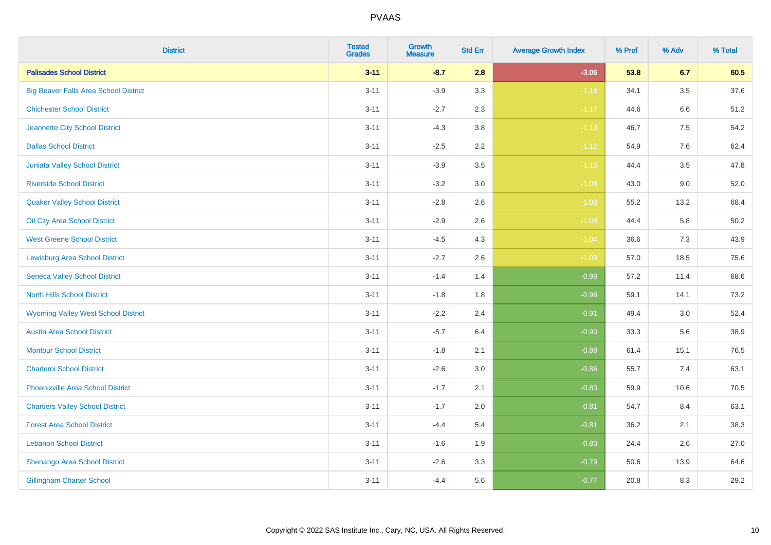| <b>District</b>                              | <b>Tested</b><br><b>Grades</b> | Growth<br><b>Measure</b> | <b>Std Err</b> | <b>Average Growth Index</b> | % Prof | % Adv   | % Total |
|----------------------------------------------|--------------------------------|--------------------------|----------------|-----------------------------|--------|---------|---------|
| <b>Palisades School District</b>             | $3 - 11$                       | $-8.7$                   | 2.8            | $-3.06$                     | 53.8   | 6.7     | 60.5    |
| <b>Big Beaver Falls Area School District</b> | $3 - 11$                       | $-3.9$                   | 3.3            | $-1.18$                     | 34.1   | 3.5     | 37.6    |
| <b>Chichester School District</b>            | $3 - 11$                       | $-2.7$                   | 2.3            | $-1.17$                     | 44.6   | 6.6     | 51.2    |
| Jeannette City School District               | $3 - 11$                       | $-4.3$                   | 3.8            | $-1.13$                     | 46.7   | $7.5\,$ | 54.2    |
| <b>Dallas School District</b>                | $3 - 11$                       | $-2.5$                   | 2.2            | $-1.12$                     | 54.9   | 7.6     | 62.4    |
| Juniata Valley School District               | $3 - 11$                       | $-3.9$                   | 3.5            | $-1.10$                     | 44.4   | 3.5     | 47.8    |
| <b>Riverside School District</b>             | $3 - 11$                       | $-3.2$                   | 3.0            | $-1.09$                     | 43.0   | 9.0     | 52.0    |
| <b>Quaker Valley School District</b>         | $3 - 11$                       | $-2.8$                   | 2.6            | $-1.08$                     | 55.2   | 13.2    | 68.4    |
| Oil City Area School District                | $3 - 11$                       | $-2.9$                   | 2.6            | $-1.08$                     | 44.4   | 5.8     | 50.2    |
| <b>West Greene School District</b>           | $3 - 11$                       | $-4.5$                   | 4.3            | $-1.04$                     | 36.6   | 7.3     | 43.9    |
| <b>Lewisburg Area School District</b>        | $3 - 11$                       | $-2.7$                   | 2.6            | $-1.03$                     | 57.0   | 18.5    | 75.6    |
| <b>Seneca Valley School District</b>         | $3 - 11$                       | $-1.4$                   | 1.4            | $-0.99$                     | 57.2   | 11.4    | 68.6    |
| <b>North Hills School District</b>           | $3 - 11$                       | $-1.8$                   | 1.8            | $-0.96$                     | 59.1   | 14.1    | 73.2    |
| <b>Wyoming Valley West School District</b>   | $3 - 11$                       | $-2.2$                   | 2.4            | $-0.91$                     | 49.4   | 3.0     | 52.4    |
| <b>Austin Area School District</b>           | $3 - 11$                       | $-5.7$                   | 6.4            | $-0.90$                     | 33.3   | 5.6     | 38.9    |
| <b>Montour School District</b>               | $3 - 11$                       | $-1.8$                   | 2.1            | $-0.88$                     | 61.4   | 15.1    | 76.5    |
| <b>Charleroi School District</b>             | $3 - 11$                       | $-2.6$                   | 3.0            | $-0.86$                     | 55.7   | 7.4     | 63.1    |
| <b>Phoenixville Area School District</b>     | $3 - 11$                       | $-1.7$                   | 2.1            | $-0.83$                     | 59.9   | 10.6    | 70.5    |
| <b>Chartiers Valley School District</b>      | $3 - 11$                       | $-1.7$                   | 2.0            | $-0.81$                     | 54.7   | 8.4     | 63.1    |
| <b>Forest Area School District</b>           | $3 - 11$                       | $-4.4$                   | 5.4            | $-0.81$                     | 36.2   | 2.1     | 38.3    |
| <b>Lebanon School District</b>               | $3 - 11$                       | $-1.6$                   | 1.9            | $-0.80$                     | 24.4   | 2.6     | 27.0    |
| Shenango Area School District                | $3 - 11$                       | $-2.6$                   | 3.3            | $-0.79$                     | 50.6   | 13.9    | 64.6    |
| <b>Gillingham Charter School</b>             | $3 - 11$                       | $-4.4$                   | 5.6            | $-0.77$                     | 20.8   | 8.3     | 29.2    |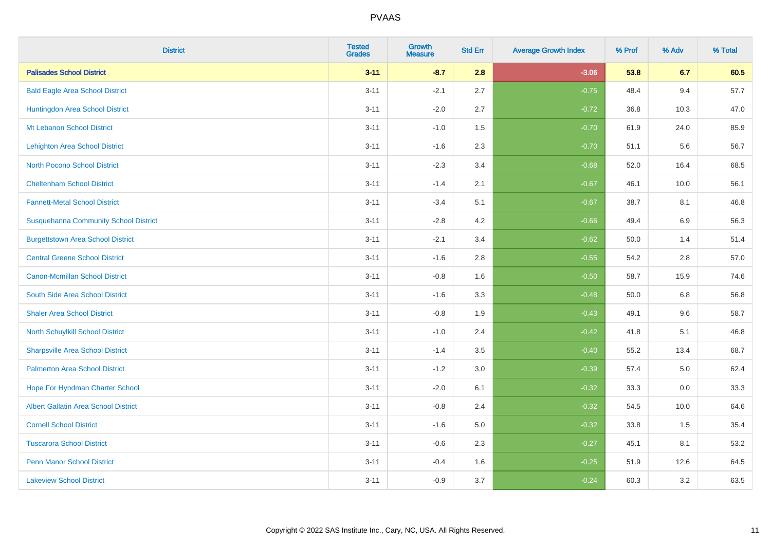| <b>District</b>                              | <b>Tested</b><br><b>Grades</b> | <b>Growth</b><br><b>Measure</b> | <b>Std Err</b> | <b>Average Growth Index</b> | % Prof | % Adv | % Total |
|----------------------------------------------|--------------------------------|---------------------------------|----------------|-----------------------------|--------|-------|---------|
| <b>Palisades School District</b>             | $3 - 11$                       | $-8.7$                          | 2.8            | $-3.06$                     | 53.8   | 6.7   | 60.5    |
| <b>Bald Eagle Area School District</b>       | $3 - 11$                       | $-2.1$                          | 2.7            | $-0.75$                     | 48.4   | 9.4   | 57.7    |
| Huntingdon Area School District              | $3 - 11$                       | $-2.0$                          | 2.7            | $-0.72$                     | 36.8   | 10.3  | 47.0    |
| Mt Lebanon School District                   | $3 - 11$                       | $-1.0$                          | 1.5            | $-0.70$                     | 61.9   | 24.0  | 85.9    |
| <b>Lehighton Area School District</b>        | $3 - 11$                       | $-1.6$                          | 2.3            | $-0.70$                     | 51.1   | 5.6   | 56.7    |
| <b>North Pocono School District</b>          | $3 - 11$                       | $-2.3$                          | 3.4            | $-0.68$                     | 52.0   | 16.4  | 68.5    |
| <b>Cheltenham School District</b>            | $3 - 11$                       | $-1.4$                          | 2.1            | $-0.67$                     | 46.1   | 10.0  | 56.1    |
| <b>Fannett-Metal School District</b>         | $3 - 11$                       | $-3.4$                          | 5.1            | $-0.67$                     | 38.7   | 8.1   | 46.8    |
| <b>Susquehanna Community School District</b> | $3 - 11$                       | $-2.8$                          | 4.2            | $-0.66$                     | 49.4   | 6.9   | 56.3    |
| <b>Burgettstown Area School District</b>     | $3 - 11$                       | $-2.1$                          | 3.4            | $-0.62$                     | 50.0   | 1.4   | 51.4    |
| <b>Central Greene School District</b>        | $3 - 11$                       | $-1.6$                          | 2.8            | $-0.55$                     | 54.2   | 2.8   | 57.0    |
| <b>Canon-Mcmillan School District</b>        | $3 - 11$                       | $-0.8$                          | 1.6            | $-0.50$                     | 58.7   | 15.9  | 74.6    |
| South Side Area School District              | $3 - 11$                       | $-1.6$                          | 3.3            | $-0.48$                     | 50.0   | 6.8   | 56.8    |
| <b>Shaler Area School District</b>           | $3 - 11$                       | $-0.8$                          | 1.9            | $-0.43$                     | 49.1   | 9.6   | 58.7    |
| <b>North Schuylkill School District</b>      | $3 - 11$                       | $-1.0$                          | 2.4            | $-0.42$                     | 41.8   | 5.1   | 46.8    |
| <b>Sharpsville Area School District</b>      | $3 - 11$                       | $-1.4$                          | 3.5            | $-0.40$                     | 55.2   | 13.4  | 68.7    |
| <b>Palmerton Area School District</b>        | $3 - 11$                       | $-1.2$                          | 3.0            | $-0.39$                     | 57.4   | 5.0   | 62.4    |
| Hope For Hyndman Charter School              | $3 - 11$                       | $-2.0$                          | 6.1            | $-0.32$                     | 33.3   | 0.0   | 33.3    |
| <b>Albert Gallatin Area School District</b>  | $3 - 11$                       | $-0.8$                          | 2.4            | $-0.32$                     | 54.5   | 10.0  | 64.6    |
| <b>Cornell School District</b>               | $3 - 11$                       | $-1.6$                          | 5.0            | $-0.32$                     | 33.8   | 1.5   | 35.4    |
| <b>Tuscarora School District</b>             | $3 - 11$                       | $-0.6$                          | 2.3            | $-0.27$                     | 45.1   | 8.1   | 53.2    |
| <b>Penn Manor School District</b>            | $3 - 11$                       | $-0.4$                          | 1.6            | $-0.25$                     | 51.9   | 12.6  | 64.5    |
| <b>Lakeview School District</b>              | $3 - 11$                       | $-0.9$                          | 3.7            | $-0.24$                     | 60.3   | 3.2   | 63.5    |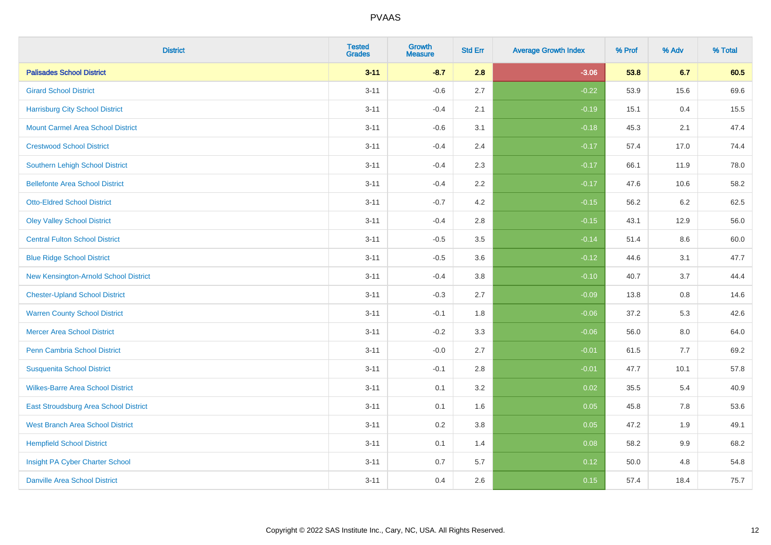| <b>District</b>                          | <b>Tested</b><br><b>Grades</b> | <b>Growth</b><br><b>Measure</b> | <b>Std Err</b> | <b>Average Growth Index</b> | % Prof | % Adv   | % Total |
|------------------------------------------|--------------------------------|---------------------------------|----------------|-----------------------------|--------|---------|---------|
| <b>Palisades School District</b>         | $3 - 11$                       | $-8.7$                          | 2.8            | $-3.06$                     | 53.8   | 6.7     | 60.5    |
| <b>Girard School District</b>            | $3 - 11$                       | $-0.6$                          | 2.7            | $-0.22$                     | 53.9   | 15.6    | 69.6    |
| <b>Harrisburg City School District</b>   | $3 - 11$                       | $-0.4$                          | 2.1            | $-0.19$                     | 15.1   | 0.4     | 15.5    |
| <b>Mount Carmel Area School District</b> | $3 - 11$                       | $-0.6$                          | 3.1            | $-0.18$                     | 45.3   | 2.1     | 47.4    |
| <b>Crestwood School District</b>         | $3 - 11$                       | $-0.4$                          | 2.4            | $-0.17$                     | 57.4   | 17.0    | 74.4    |
| <b>Southern Lehigh School District</b>   | $3 - 11$                       | $-0.4$                          | 2.3            | $-0.17$                     | 66.1   | 11.9    | 78.0    |
| <b>Bellefonte Area School District</b>   | $3 - 11$                       | $-0.4$                          | 2.2            | $-0.17$                     | 47.6   | 10.6    | 58.2    |
| <b>Otto-Eldred School District</b>       | $3 - 11$                       | $-0.7$                          | 4.2            | $-0.15$                     | 56.2   | $6.2\,$ | 62.5    |
| <b>Oley Valley School District</b>       | $3 - 11$                       | $-0.4$                          | 2.8            | $-0.15$                     | 43.1   | 12.9    | 56.0    |
| <b>Central Fulton School District</b>    | $3 - 11$                       | $-0.5$                          | 3.5            | $-0.14$                     | 51.4   | 8.6     | 60.0    |
| <b>Blue Ridge School District</b>        | $3 - 11$                       | $-0.5$                          | 3.6            | $-0.12$                     | 44.6   | 3.1     | 47.7    |
| New Kensington-Arnold School District    | $3 - 11$                       | $-0.4$                          | 3.8            | $-0.10$                     | 40.7   | 3.7     | 44.4    |
| <b>Chester-Upland School District</b>    | $3 - 11$                       | $-0.3$                          | 2.7            | $-0.09$                     | 13.8   | $0.8\,$ | 14.6    |
| <b>Warren County School District</b>     | $3 - 11$                       | $-0.1$                          | 1.8            | $-0.06$                     | 37.2   | 5.3     | 42.6    |
| <b>Mercer Area School District</b>       | $3 - 11$                       | $-0.2$                          | 3.3            | $-0.06$                     | 56.0   | $8.0\,$ | 64.0    |
| <b>Penn Cambria School District</b>      | $3 - 11$                       | $-0.0$                          | 2.7            | $-0.01$                     | 61.5   | 7.7     | 69.2    |
| <b>Susquenita School District</b>        | $3 - 11$                       | $-0.1$                          | 2.8            | $-0.01$                     | 47.7   | 10.1    | 57.8    |
| <b>Wilkes-Barre Area School District</b> | $3 - 11$                       | 0.1                             | 3.2            | 0.02                        | 35.5   | 5.4     | 40.9    |
| East Stroudsburg Area School District    | $3 - 11$                       | 0.1                             | 1.6            | 0.05                        | 45.8   | 7.8     | 53.6    |
| <b>West Branch Area School District</b>  | $3 - 11$                       | 0.2                             | 3.8            | 0.05                        | 47.2   | 1.9     | 49.1    |
| <b>Hempfield School District</b>         | $3 - 11$                       | 0.1                             | 1.4            | 0.08                        | 58.2   | 9.9     | 68.2    |
| Insight PA Cyber Charter School          | $3 - 11$                       | 0.7                             | 5.7            | 0.12                        | 50.0   | 4.8     | 54.8    |
| <b>Danville Area School District</b>     | $3 - 11$                       | 0.4                             | 2.6            | 0.15                        | 57.4   | 18.4    | 75.7    |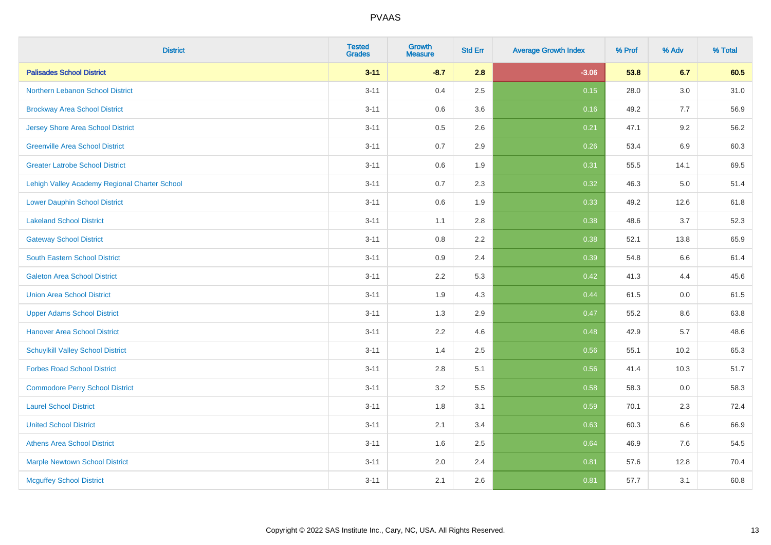| <b>District</b>                               | <b>Tested</b><br><b>Grades</b> | <b>Growth</b><br><b>Measure</b> | <b>Std Err</b> | <b>Average Growth Index</b> | % Prof | % Adv | % Total |
|-----------------------------------------------|--------------------------------|---------------------------------|----------------|-----------------------------|--------|-------|---------|
| <b>Palisades School District</b>              | $3 - 11$                       | $-8.7$                          | 2.8            | $-3.06$                     | 53.8   | 6.7   | 60.5    |
| Northern Lebanon School District              | $3 - 11$                       | 0.4                             | 2.5            | 0.15                        | 28.0   | 3.0   | 31.0    |
| <b>Brockway Area School District</b>          | $3 - 11$                       | 0.6                             | 3.6            | 0.16                        | 49.2   | 7.7   | 56.9    |
| <b>Jersey Shore Area School District</b>      | $3 - 11$                       | $0.5\,$                         | 2.6            | 0.21                        | 47.1   | 9.2   | 56.2    |
| <b>Greenville Area School District</b>        | $3 - 11$                       | 0.7                             | 2.9            | 0.26                        | 53.4   | 6.9   | 60.3    |
| <b>Greater Latrobe School District</b>        | $3 - 11$                       | 0.6                             | 1.9            | 0.31                        | 55.5   | 14.1  | 69.5    |
| Lehigh Valley Academy Regional Charter School | $3 - 11$                       | 0.7                             | 2.3            | 0.32                        | 46.3   | 5.0   | 51.4    |
| <b>Lower Dauphin School District</b>          | $3 - 11$                       | $0.6\,$                         | 1.9            | 0.33                        | 49.2   | 12.6  | 61.8    |
| <b>Lakeland School District</b>               | $3 - 11$                       | 1.1                             | 2.8            | 0.38                        | 48.6   | 3.7   | 52.3    |
| <b>Gateway School District</b>                | $3 - 11$                       | 0.8                             | 2.2            | 0.38                        | 52.1   | 13.8  | 65.9    |
| <b>South Eastern School District</b>          | $3 - 11$                       | 0.9                             | 2.4            | 0.39                        | 54.8   | 6.6   | 61.4    |
| <b>Galeton Area School District</b>           | $3 - 11$                       | 2.2                             | 5.3            | 0.42                        | 41.3   | 4.4   | 45.6    |
| <b>Union Area School District</b>             | $3 - 11$                       | 1.9                             | 4.3            | 0.44                        | 61.5   | 0.0   | 61.5    |
| <b>Upper Adams School District</b>            | $3 - 11$                       | 1.3                             | 2.9            | 0.47                        | 55.2   | 8.6   | 63.8    |
| <b>Hanover Area School District</b>           | $3 - 11$                       | 2.2                             | 4.6            | 0.48                        | 42.9   | 5.7   | 48.6    |
| <b>Schuylkill Valley School District</b>      | $3 - 11$                       | 1.4                             | 2.5            | 0.56                        | 55.1   | 10.2  | 65.3    |
| <b>Forbes Road School District</b>            | $3 - 11$                       | 2.8                             | 5.1            | 0.56                        | 41.4   | 10.3  | 51.7    |
| <b>Commodore Perry School District</b>        | $3 - 11$                       | 3.2                             | 5.5            | 0.58                        | 58.3   | 0.0   | 58.3    |
| <b>Laurel School District</b>                 | $3 - 11$                       | 1.8                             | 3.1            | 0.59                        | 70.1   | 2.3   | 72.4    |
| <b>United School District</b>                 | $3 - 11$                       | 2.1                             | 3.4            | 0.63                        | 60.3   | 6.6   | 66.9    |
| <b>Athens Area School District</b>            | $3 - 11$                       | 1.6                             | 2.5            | 0.64                        | 46.9   | 7.6   | 54.5    |
| <b>Marple Newtown School District</b>         | $3 - 11$                       | 2.0                             | 2.4            | 0.81                        | 57.6   | 12.8  | 70.4    |
| <b>Mcguffey School District</b>               | $3 - 11$                       | 2.1                             | 2.6            | 0.81                        | 57.7   | 3.1   | 60.8    |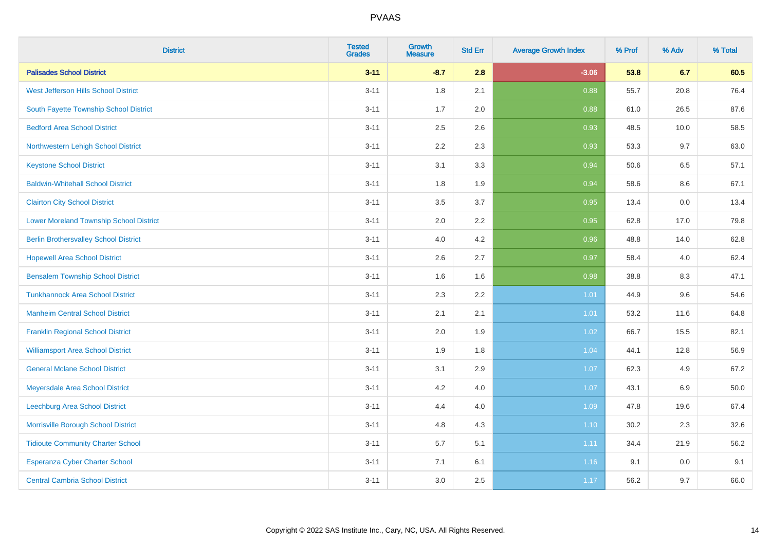| <b>District</b>                                | <b>Tested</b><br><b>Grades</b> | Growth<br><b>Measure</b> | <b>Std Err</b> | <b>Average Growth Index</b> | % Prof | % Adv   | % Total |
|------------------------------------------------|--------------------------------|--------------------------|----------------|-----------------------------|--------|---------|---------|
| <b>Palisades School District</b>               | $3 - 11$                       | $-8.7$                   | 2.8            | $-3.06$                     | 53.8   | 6.7     | 60.5    |
| West Jefferson Hills School District           | $3 - 11$                       | 1.8                      | 2.1            | 0.88                        | 55.7   | 20.8    | 76.4    |
| South Fayette Township School District         | $3 - 11$                       | 1.7                      | 2.0            | 0.88                        | 61.0   | 26.5    | 87.6    |
| <b>Bedford Area School District</b>            | $3 - 11$                       | 2.5                      | 2.6            | 0.93                        | 48.5   | 10.0    | 58.5    |
| Northwestern Lehigh School District            | $3 - 11$                       | 2.2                      | 2.3            | 0.93                        | 53.3   | 9.7     | 63.0    |
| <b>Keystone School District</b>                | $3 - 11$                       | 3.1                      | 3.3            | 0.94                        | 50.6   | 6.5     | 57.1    |
| <b>Baldwin-Whitehall School District</b>       | $3 - 11$                       | 1.8                      | 1.9            | 0.94                        | 58.6   | $8.6\,$ | 67.1    |
| <b>Clairton City School District</b>           | $3 - 11$                       | 3.5                      | 3.7            | 0.95                        | 13.4   | 0.0     | 13.4    |
| <b>Lower Moreland Township School District</b> | $3 - 11$                       | 2.0                      | 2.2            | 0.95                        | 62.8   | 17.0    | 79.8    |
| <b>Berlin Brothersvalley School District</b>   | $3 - 11$                       | 4.0                      | 4.2            | 0.96                        | 48.8   | 14.0    | 62.8    |
| <b>Hopewell Area School District</b>           | $3 - 11$                       | 2.6                      | 2.7            | 0.97                        | 58.4   | 4.0     | 62.4    |
| <b>Bensalem Township School District</b>       | $3 - 11$                       | 1.6                      | 1.6            | 0.98                        | 38.8   | 8.3     | 47.1    |
| <b>Tunkhannock Area School District</b>        | $3 - 11$                       | 2.3                      | 2.2            | 1.01                        | 44.9   | 9.6     | 54.6    |
| <b>Manheim Central School District</b>         | $3 - 11$                       | 2.1                      | 2.1            | 1.01                        | 53.2   | 11.6    | 64.8    |
| <b>Franklin Regional School District</b>       | $3 - 11$                       | 2.0                      | 1.9            | 1.02                        | 66.7   | 15.5    | 82.1    |
| <b>Williamsport Area School District</b>       | $3 - 11$                       | 1.9                      | 1.8            | 1.04                        | 44.1   | 12.8    | 56.9    |
| <b>General Mclane School District</b>          | $3 - 11$                       | 3.1                      | 2.9            | 1.07                        | 62.3   | 4.9     | 67.2    |
| Meyersdale Area School District                | $3 - 11$                       | 4.2                      | 4.0            | 1.07                        | 43.1   | $6.9\,$ | 50.0    |
| <b>Leechburg Area School District</b>          | $3 - 11$                       | 4.4                      | 4.0            | 1.09                        | 47.8   | 19.6    | 67.4    |
| Morrisville Borough School District            | $3 - 11$                       | 4.8                      | 4.3            | 1.10                        | 30.2   | 2.3     | 32.6    |
| <b>Tidioute Community Charter School</b>       | $3 - 11$                       | 5.7                      | 5.1            | 1.11                        | 34.4   | 21.9    | 56.2    |
| Esperanza Cyber Charter School                 | $3 - 11$                       | 7.1                      | 6.1            | 1.16                        | 9.1    | 0.0     | 9.1     |
| <b>Central Cambria School District</b>         | $3 - 11$                       | 3.0                      | 2.5            | 1.17                        | 56.2   | 9.7     | 66.0    |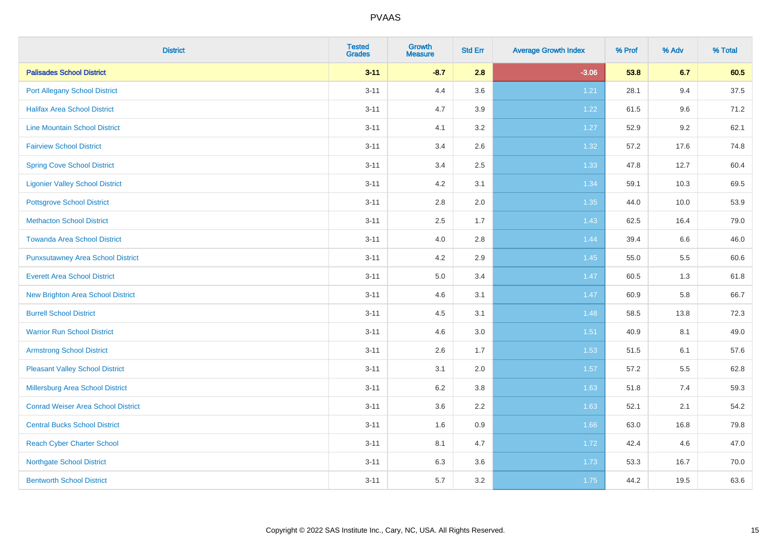| <b>District</b>                           | <b>Tested</b><br><b>Grades</b> | <b>Growth</b><br><b>Measure</b> | <b>Std Err</b> | <b>Average Growth Index</b> | % Prof | % Adv   | % Total |
|-------------------------------------------|--------------------------------|---------------------------------|----------------|-----------------------------|--------|---------|---------|
| <b>Palisades School District</b>          | $3 - 11$                       | $-8.7$                          | 2.8            | $-3.06$                     | 53.8   | 6.7     | 60.5    |
| <b>Port Allegany School District</b>      | $3 - 11$                       | 4.4                             | 3.6            | 1.21                        | 28.1   | 9.4     | 37.5    |
| <b>Halifax Area School District</b>       | $3 - 11$                       | 4.7                             | 3.9            | 1.22                        | 61.5   | 9.6     | 71.2    |
| <b>Line Mountain School District</b>      | $3 - 11$                       | 4.1                             | 3.2            | 1.27                        | 52.9   | $9.2\,$ | 62.1    |
| <b>Fairview School District</b>           | $3 - 11$                       | 3.4                             | 2.6            | 1.32                        | 57.2   | 17.6    | 74.8    |
| <b>Spring Cove School District</b>        | $3 - 11$                       | 3.4                             | 2.5            | 1.33                        | 47.8   | 12.7    | 60.4    |
| <b>Ligonier Valley School District</b>    | $3 - 11$                       | 4.2                             | 3.1            | 1.34                        | 59.1   | 10.3    | 69.5    |
| <b>Pottsgrove School District</b>         | $3 - 11$                       | 2.8                             | 2.0            | 1.35                        | 44.0   | 10.0    | 53.9    |
| <b>Methacton School District</b>          | $3 - 11$                       | 2.5                             | 1.7            | 1.43                        | 62.5   | 16.4    | 79.0    |
| <b>Towanda Area School District</b>       | $3 - 11$                       | 4.0                             | 2.8            | 1.44                        | 39.4   | 6.6     | 46.0    |
| <b>Punxsutawney Area School District</b>  | $3 - 11$                       | 4.2                             | 2.9            | 1.45                        | 55.0   | 5.5     | 60.6    |
| <b>Everett Area School District</b>       | $3 - 11$                       | 5.0                             | 3.4            | 1.47                        | 60.5   | 1.3     | 61.8    |
| New Brighton Area School District         | $3 - 11$                       | 4.6                             | 3.1            | 1.47                        | 60.9   | 5.8     | 66.7    |
| <b>Burrell School District</b>            | $3 - 11$                       | 4.5                             | 3.1            | 1.48                        | 58.5   | 13.8    | 72.3    |
| <b>Warrior Run School District</b>        | $3 - 11$                       | 4.6                             | 3.0            | 1.51                        | 40.9   | 8.1     | 49.0    |
| <b>Armstrong School District</b>          | $3 - 11$                       | 2.6                             | 1.7            | 1.53                        | 51.5   | 6.1     | 57.6    |
| <b>Pleasant Valley School District</b>    | $3 - 11$                       | 3.1                             | 2.0            | 1.57                        | 57.2   | 5.5     | 62.8    |
| Millersburg Area School District          | $3 - 11$                       | 6.2                             | 3.8            | 1.63                        | 51.8   | 7.4     | 59.3    |
| <b>Conrad Weiser Area School District</b> | $3 - 11$                       | 3.6                             | 2.2            | 1.63                        | 52.1   | 2.1     | 54.2    |
| <b>Central Bucks School District</b>      | $3 - 11$                       | 1.6                             | 0.9            | 1.66                        | 63.0   | 16.8    | 79.8    |
| <b>Reach Cyber Charter School</b>         | $3 - 11$                       | 8.1                             | 4.7            | 1.72                        | 42.4   | 4.6     | 47.0    |
| <b>Northgate School District</b>          | $3 - 11$                       | 6.3                             | 3.6            | 1.73                        | 53.3   | 16.7    | 70.0    |
| <b>Bentworth School District</b>          | $3 - 11$                       | 5.7                             | 3.2            | 1.75                        | 44.2   | 19.5    | 63.6    |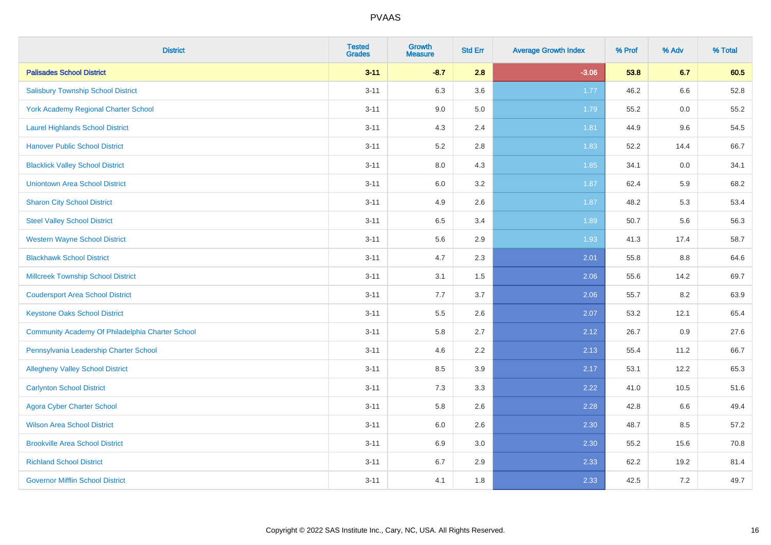| <b>District</b>                                  | <b>Tested</b><br><b>Grades</b> | <b>Growth</b><br><b>Measure</b> | <b>Std Err</b> | <b>Average Growth Index</b> | % Prof | % Adv   | % Total |
|--------------------------------------------------|--------------------------------|---------------------------------|----------------|-----------------------------|--------|---------|---------|
| <b>Palisades School District</b>                 | $3 - 11$                       | $-8.7$                          | 2.8            | $-3.06$                     | 53.8   | 6.7     | 60.5    |
| <b>Salisbury Township School District</b>        | $3 - 11$                       | 6.3                             | 3.6            | 1.77                        | 46.2   | 6.6     | 52.8    |
| York Academy Regional Charter School             | $3 - 11$                       | 9.0                             | 5.0            | 1.79                        | 55.2   | 0.0     | 55.2    |
| <b>Laurel Highlands School District</b>          | $3 - 11$                       | 4.3                             | 2.4            | 1.81                        | 44.9   | 9.6     | 54.5    |
| <b>Hanover Public School District</b>            | $3 - 11$                       | 5.2                             | 2.8            | 1.83                        | 52.2   | 14.4    | 66.7    |
| <b>Blacklick Valley School District</b>          | $3 - 11$                       | 8.0                             | 4.3            | 1.85                        | 34.1   | 0.0     | 34.1    |
| <b>Uniontown Area School District</b>            | $3 - 11$                       | $6.0\,$                         | 3.2            | 1.87                        | 62.4   | 5.9     | 68.2    |
| <b>Sharon City School District</b>               | $3 - 11$                       | 4.9                             | 2.6            | 1.87                        | 48.2   | 5.3     | 53.4    |
| <b>Steel Valley School District</b>              | $3 - 11$                       | 6.5                             | 3.4            | 1.89                        | 50.7   | 5.6     | 56.3    |
| <b>Western Wayne School District</b>             | $3 - 11$                       | 5.6                             | 2.9            | 1.93                        | 41.3   | 17.4    | 58.7    |
| <b>Blackhawk School District</b>                 | $3 - 11$                       | 4.7                             | 2.3            | 2.01                        | 55.8   | 8.8     | 64.6    |
| <b>Millcreek Township School District</b>        | $3 - 11$                       | 3.1                             | 1.5            | 2.06                        | 55.6   | 14.2    | 69.7    |
| <b>Coudersport Area School District</b>          | $3 - 11$                       | 7.7                             | 3.7            | 2.06                        | 55.7   | 8.2     | 63.9    |
| <b>Keystone Oaks School District</b>             | $3 - 11$                       | $5.5\,$                         | 2.6            | 2.07                        | 53.2   | 12.1    | 65.4    |
| Community Academy Of Philadelphia Charter School | $3 - 11$                       | 5.8                             | 2.7            | 2.12                        | 26.7   | 0.9     | 27.6    |
| Pennsylvania Leadership Charter School           | $3 - 11$                       | 4.6                             | 2.2            | 2.13                        | 55.4   | 11.2    | 66.7    |
| <b>Allegheny Valley School District</b>          | $3 - 11$                       | 8.5                             | 3.9            | 2.17                        | 53.1   | 12.2    | 65.3    |
| <b>Carlynton School District</b>                 | $3 - 11$                       | 7.3                             | 3.3            | 2.22                        | 41.0   | 10.5    | 51.6    |
| <b>Agora Cyber Charter School</b>                | $3 - 11$                       | 5.8                             | 2.6            | 2.28                        | 42.8   | 6.6     | 49.4    |
| <b>Wilson Area School District</b>               | $3 - 11$                       | 6.0                             | 2.6            | 2.30                        | 48.7   | 8.5     | 57.2    |
| <b>Brookville Area School District</b>           | $3 - 11$                       | 6.9                             | 3.0            | 2.30                        | 55.2   | 15.6    | 70.8    |
| <b>Richland School District</b>                  | $3 - 11$                       | 6.7                             | 2.9            | 2.33                        | 62.2   | 19.2    | 81.4    |
| <b>Governor Mifflin School District</b>          | $3 - 11$                       | 4.1                             | 1.8            | 2.33                        | 42.5   | $7.2\,$ | 49.7    |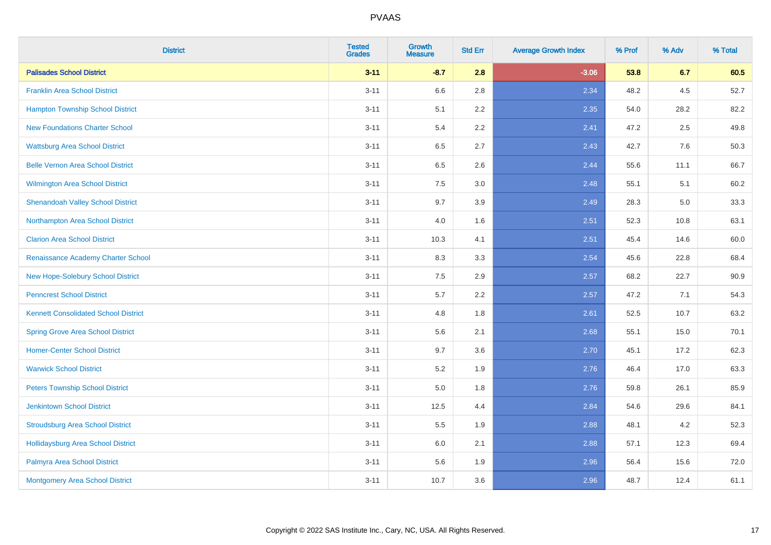| <b>District</b>                             | <b>Tested</b><br><b>Grades</b> | <b>Growth</b><br><b>Measure</b> | <b>Std Err</b> | <b>Average Growth Index</b> | % Prof | % Adv | % Total |
|---------------------------------------------|--------------------------------|---------------------------------|----------------|-----------------------------|--------|-------|---------|
| <b>Palisades School District</b>            | $3 - 11$                       | $-8.7$                          | 2.8            | $-3.06$                     | 53.8   | 6.7   | 60.5    |
| <b>Franklin Area School District</b>        | $3 - 11$                       | 6.6                             | 2.8            | 2.34                        | 48.2   | 4.5   | 52.7    |
| <b>Hampton Township School District</b>     | $3 - 11$                       | 5.1                             | 2.2            | 2.35                        | 54.0   | 28.2  | 82.2    |
| <b>New Foundations Charter School</b>       | $3 - 11$                       | 5.4                             | 2.2            | 2.41                        | 47.2   | 2.5   | 49.8    |
| <b>Wattsburg Area School District</b>       | $3 - 11$                       | 6.5                             | 2.7            | 2.43                        | 42.7   | 7.6   | 50.3    |
| <b>Belle Vernon Area School District</b>    | $3 - 11$                       | 6.5                             | 2.6            | 2.44                        | 55.6   | 11.1  | 66.7    |
| Wilmington Area School District             | $3 - 11$                       | $7.5\,$                         | 3.0            | 2.48                        | 55.1   | 5.1   | 60.2    |
| <b>Shenandoah Valley School District</b>    | $3 - 11$                       | 9.7                             | 3.9            | 2.49                        | 28.3   | 5.0   | 33.3    |
| Northampton Area School District            | $3 - 11$                       | 4.0                             | 1.6            | 2.51                        | 52.3   | 10.8  | 63.1    |
| <b>Clarion Area School District</b>         | $3 - 11$                       | 10.3                            | 4.1            | 2.51                        | 45.4   | 14.6  | 60.0    |
| Renaissance Academy Charter School          | $3 - 11$                       | 8.3                             | 3.3            | 2.54                        | 45.6   | 22.8  | 68.4    |
| New Hope-Solebury School District           | $3 - 11$                       | 7.5                             | 2.9            | 2.57                        | 68.2   | 22.7  | 90.9    |
| <b>Penncrest School District</b>            | $3 - 11$                       | 5.7                             | 2.2            | 2.57                        | 47.2   | 7.1   | 54.3    |
| <b>Kennett Consolidated School District</b> | $3 - 11$                       | 4.8                             | 1.8            | 2.61                        | 52.5   | 10.7  | 63.2    |
| <b>Spring Grove Area School District</b>    | $3 - 11$                       | 5.6                             | 2.1            | 2.68                        | 55.1   | 15.0  | 70.1    |
| <b>Homer-Center School District</b>         | $3 - 11$                       | 9.7                             | 3.6            | 2.70                        | 45.1   | 17.2  | 62.3    |
| <b>Warwick School District</b>              | $3 - 11$                       | $5.2\,$                         | 1.9            | 2.76                        | 46.4   | 17.0  | 63.3    |
| <b>Peters Township School District</b>      | $3 - 11$                       | 5.0                             | 1.8            | 2.76                        | 59.8   | 26.1  | 85.9    |
| <b>Jenkintown School District</b>           | $3 - 11$                       | 12.5                            | 4.4            | 2.84                        | 54.6   | 29.6  | 84.1    |
| <b>Stroudsburg Area School District</b>     | $3 - 11$                       | 5.5                             | 1.9            | 2.88                        | 48.1   | 4.2   | 52.3    |
| <b>Hollidaysburg Area School District</b>   | $3 - 11$                       | 6.0                             | 2.1            | 2.88                        | 57.1   | 12.3  | 69.4    |
| Palmyra Area School District                | $3 - 11$                       | 5.6                             | 1.9            | 2.96                        | 56.4   | 15.6  | 72.0    |
| Montgomery Area School District             | $3 - 11$                       | 10.7                            | 3.6            | 2.96                        | 48.7   | 12.4  | 61.1    |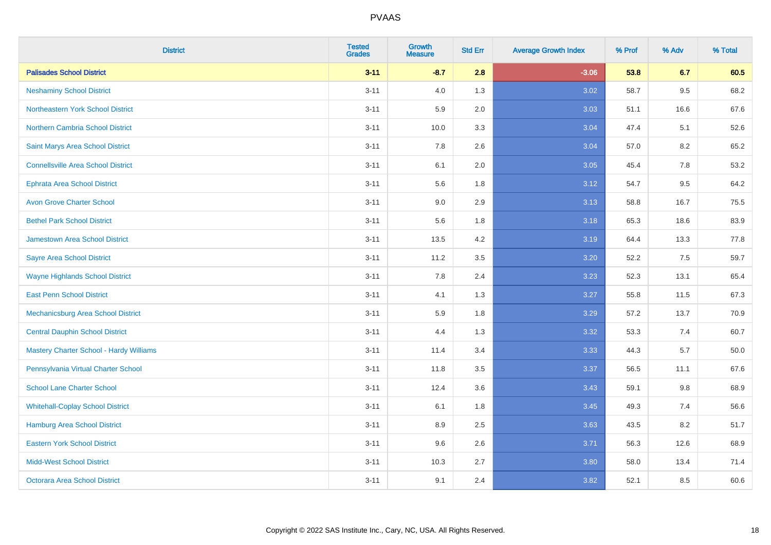| <b>District</b>                                | <b>Tested</b><br><b>Grades</b> | <b>Growth</b><br><b>Measure</b> | <b>Std Err</b> | <b>Average Growth Index</b> | % Prof | % Adv | % Total |
|------------------------------------------------|--------------------------------|---------------------------------|----------------|-----------------------------|--------|-------|---------|
| <b>Palisades School District</b>               | $3 - 11$                       | $-8.7$                          | 2.8            | $-3.06$                     | 53.8   | 6.7   | 60.5    |
| <b>Neshaminy School District</b>               | $3 - 11$                       | 4.0                             | 1.3            | 3.02                        | 58.7   | 9.5   | 68.2    |
| Northeastern York School District              | $3 - 11$                       | 5.9                             | 2.0            | 3.03                        | 51.1   | 16.6  | 67.6    |
| <b>Northern Cambria School District</b>        | $3 - 11$                       | 10.0                            | 3.3            | 3.04                        | 47.4   | 5.1   | 52.6    |
| Saint Marys Area School District               | $3 - 11$                       | 7.8                             | 2.6            | 3.04                        | 57.0   | 8.2   | 65.2    |
| <b>Connellsville Area School District</b>      | $3 - 11$                       | 6.1                             | 2.0            | 3.05                        | 45.4   | 7.8   | 53.2    |
| <b>Ephrata Area School District</b>            | $3 - 11$                       | 5.6                             | 1.8            | 3.12                        | 54.7   | 9.5   | 64.2    |
| <b>Avon Grove Charter School</b>               | $3 - 11$                       | 9.0                             | 2.9            | 3.13                        | 58.8   | 16.7  | 75.5    |
| <b>Bethel Park School District</b>             | $3 - 11$                       | 5.6                             | 1.8            | 3.18                        | 65.3   | 18.6  | 83.9    |
| <b>Jamestown Area School District</b>          | $3 - 11$                       | 13.5                            | 4.2            | 3.19                        | 64.4   | 13.3  | 77.8    |
| <b>Sayre Area School District</b>              | $3 - 11$                       | 11.2                            | 3.5            | 3.20                        | 52.2   | 7.5   | 59.7    |
| <b>Wayne Highlands School District</b>         | $3 - 11$                       | 7.8                             | 2.4            | 3.23                        | 52.3   | 13.1  | 65.4    |
| <b>East Penn School District</b>               | $3 - 11$                       | 4.1                             | 1.3            | 3.27                        | 55.8   | 11.5  | 67.3    |
| <b>Mechanicsburg Area School District</b>      | $3 - 11$                       | 5.9                             | 1.8            | 3.29                        | 57.2   | 13.7  | 70.9    |
| <b>Central Dauphin School District</b>         | $3 - 11$                       | 4.4                             | 1.3            | 3.32                        | 53.3   | 7.4   | 60.7    |
| <b>Mastery Charter School - Hardy Williams</b> | $3 - 11$                       | 11.4                            | 3.4            | 3.33                        | 44.3   | 5.7   | 50.0    |
| Pennsylvania Virtual Charter School            | $3 - 11$                       | 11.8                            | 3.5            | 3.37                        | 56.5   | 11.1  | 67.6    |
| <b>School Lane Charter School</b>              | $3 - 11$                       | 12.4                            | 3.6            | 3.43                        | 59.1   | 9.8   | 68.9    |
| <b>Whitehall-Coplay School District</b>        | $3 - 11$                       | 6.1                             | 1.8            | 3.45                        | 49.3   | 7.4   | 56.6    |
| <b>Hamburg Area School District</b>            | $3 - 11$                       | 8.9                             | 2.5            | 3.63                        | 43.5   | 8.2   | 51.7    |
| <b>Eastern York School District</b>            | $3 - 11$                       | 9.6                             | 2.6            | 3.71                        | 56.3   | 12.6  | 68.9    |
| <b>Midd-West School District</b>               | $3 - 11$                       | 10.3                            | 2.7            | 3.80                        | 58.0   | 13.4  | 71.4    |
| <b>Octorara Area School District</b>           | $3 - 11$                       | 9.1                             | 2.4            | 3.82                        | 52.1   | 8.5   | 60.6    |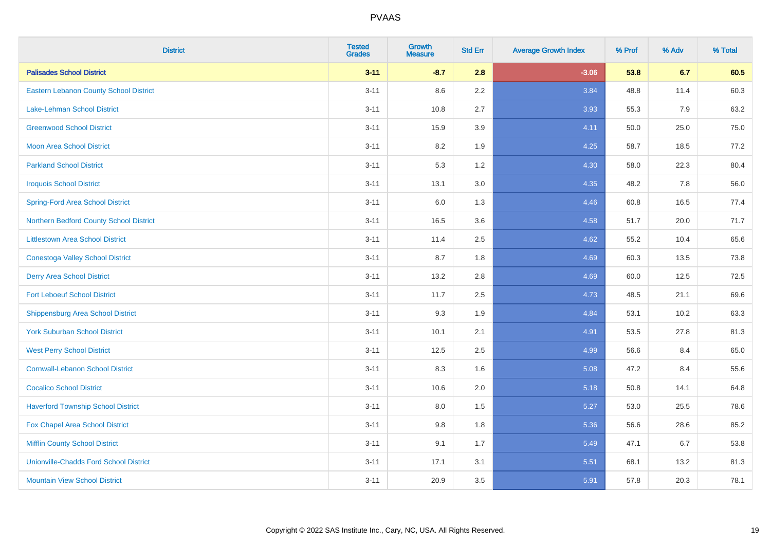| <b>District</b>                               | <b>Tested</b><br><b>Grades</b> | <b>Growth</b><br><b>Measure</b> | <b>Std Err</b> | <b>Average Growth Index</b> | % Prof | % Adv | % Total |
|-----------------------------------------------|--------------------------------|---------------------------------|----------------|-----------------------------|--------|-------|---------|
| <b>Palisades School District</b>              | $3 - 11$                       | $-8.7$                          | 2.8            | $-3.06$                     | 53.8   | 6.7   | 60.5    |
| <b>Eastern Lebanon County School District</b> | $3 - 11$                       | 8.6                             | 2.2            | 3.84                        | 48.8   | 11.4  | 60.3    |
| Lake-Lehman School District                   | $3 - 11$                       | 10.8                            | 2.7            | 3.93                        | 55.3   | 7.9   | 63.2    |
| <b>Greenwood School District</b>              | $3 - 11$                       | 15.9                            | 3.9            | 4.11                        | 50.0   | 25.0  | 75.0    |
| <b>Moon Area School District</b>              | $3 - 11$                       | 8.2                             | 1.9            | 4.25                        | 58.7   | 18.5  | 77.2    |
| <b>Parkland School District</b>               | $3 - 11$                       | 5.3                             | 1.2            | 4.30                        | 58.0   | 22.3  | 80.4    |
| <b>Iroquois School District</b>               | $3 - 11$                       | 13.1                            | 3.0            | 4.35                        | 48.2   | 7.8   | 56.0    |
| <b>Spring-Ford Area School District</b>       | $3 - 11$                       | 6.0                             | 1.3            | 4.46                        | 60.8   | 16.5  | 77.4    |
| Northern Bedford County School District       | $3 - 11$                       | 16.5                            | 3.6            | 4.58                        | 51.7   | 20.0  | 71.7    |
| <b>Littlestown Area School District</b>       | $3 - 11$                       | 11.4                            | 2.5            | 4.62                        | 55.2   | 10.4  | 65.6    |
| <b>Conestoga Valley School District</b>       | $3 - 11$                       | 8.7                             | 1.8            | 4.69                        | 60.3   | 13.5  | 73.8    |
| <b>Derry Area School District</b>             | $3 - 11$                       | 13.2                            | 2.8            | 4.69                        | 60.0   | 12.5  | 72.5    |
| <b>Fort Leboeuf School District</b>           | $3 - 11$                       | 11.7                            | 2.5            | 4.73                        | 48.5   | 21.1  | 69.6    |
| <b>Shippensburg Area School District</b>      | $3 - 11$                       | 9.3                             | 1.9            | 4.84                        | 53.1   | 10.2  | 63.3    |
| <b>York Suburban School District</b>          | $3 - 11$                       | 10.1                            | 2.1            | 4.91                        | 53.5   | 27.8  | 81.3    |
| <b>West Perry School District</b>             | $3 - 11$                       | 12.5                            | 2.5            | 4.99                        | 56.6   | 8.4   | 65.0    |
| <b>Cornwall-Lebanon School District</b>       | $3 - 11$                       | 8.3                             | 1.6            | 5.08                        | 47.2   | 8.4   | 55.6    |
| <b>Cocalico School District</b>               | $3 - 11$                       | 10.6                            | 2.0            | 5.18                        | 50.8   | 14.1  | 64.8    |
| <b>Haverford Township School District</b>     | $3 - 11$                       | 8.0                             | 1.5            | 5.27                        | 53.0   | 25.5  | 78.6    |
| Fox Chapel Area School District               | $3 - 11$                       | 9.8                             | 1.8            | 5.36                        | 56.6   | 28.6  | 85.2    |
| <b>Mifflin County School District</b>         | $3 - 11$                       | 9.1                             | 1.7            | 5.49                        | 47.1   | 6.7   | 53.8    |
| <b>Unionville-Chadds Ford School District</b> | $3 - 11$                       | 17.1                            | 3.1            | 5.51                        | 68.1   | 13.2  | 81.3    |
| <b>Mountain View School District</b>          | $3 - 11$                       | 20.9                            | 3.5            | 5.91                        | 57.8   | 20.3  | 78.1    |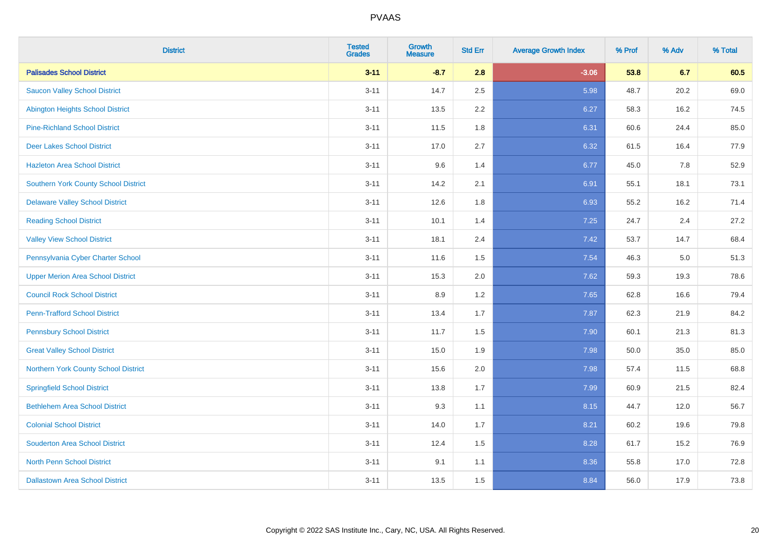| <b>District</b>                             | <b>Tested</b><br><b>Grades</b> | <b>Growth</b><br><b>Measure</b> | <b>Std Err</b> | <b>Average Growth Index</b> | % Prof | % Adv | % Total |
|---------------------------------------------|--------------------------------|---------------------------------|----------------|-----------------------------|--------|-------|---------|
| <b>Palisades School District</b>            | $3 - 11$                       | $-8.7$                          | 2.8            | $-3.06$                     | 53.8   | 6.7   | 60.5    |
| <b>Saucon Valley School District</b>        | $3 - 11$                       | 14.7                            | 2.5            | 5.98                        | 48.7   | 20.2  | 69.0    |
| <b>Abington Heights School District</b>     | $3 - 11$                       | 13.5                            | 2.2            | 6.27                        | 58.3   | 16.2  | 74.5    |
| <b>Pine-Richland School District</b>        | $3 - 11$                       | 11.5                            | 1.8            | 6.31                        | 60.6   | 24.4  | 85.0    |
| <b>Deer Lakes School District</b>           | $3 - 11$                       | 17.0                            | 2.7            | 6.32                        | 61.5   | 16.4  | 77.9    |
| <b>Hazleton Area School District</b>        | $3 - 11$                       | 9.6                             | 1.4            | 6.77                        | 45.0   | 7.8   | 52.9    |
| <b>Southern York County School District</b> | $3 - 11$                       | 14.2                            | 2.1            | 6.91                        | 55.1   | 18.1  | 73.1    |
| <b>Delaware Valley School District</b>      | $3 - 11$                       | 12.6                            | 1.8            | 6.93                        | 55.2   | 16.2  | 71.4    |
| <b>Reading School District</b>              | $3 - 11$                       | 10.1                            | 1.4            | 7.25                        | 24.7   | 2.4   | 27.2    |
| <b>Valley View School District</b>          | $3 - 11$                       | 18.1                            | 2.4            | 7.42                        | 53.7   | 14.7  | 68.4    |
| Pennsylvania Cyber Charter School           | $3 - 11$                       | 11.6                            | 1.5            | 7.54                        | 46.3   | 5.0   | 51.3    |
| <b>Upper Merion Area School District</b>    | $3 - 11$                       | 15.3                            | 2.0            | 7.62                        | 59.3   | 19.3  | 78.6    |
| <b>Council Rock School District</b>         | $3 - 11$                       | 8.9                             | 1.2            | 7.65                        | 62.8   | 16.6  | 79.4    |
| <b>Penn-Trafford School District</b>        | $3 - 11$                       | 13.4                            | 1.7            | 7.87                        | 62.3   | 21.9  | 84.2    |
| <b>Pennsbury School District</b>            | $3 - 11$                       | 11.7                            | 1.5            | 7.90                        | 60.1   | 21.3  | 81.3    |
| <b>Great Valley School District</b>         | $3 - 11$                       | 15.0                            | 1.9            | 7.98                        | 50.0   | 35.0  | 85.0    |
| Northern York County School District        | $3 - 11$                       | 15.6                            | 2.0            | 7.98                        | 57.4   | 11.5  | 68.8    |
| <b>Springfield School District</b>          | $3 - 11$                       | 13.8                            | 1.7            | 7.99                        | 60.9   | 21.5  | 82.4    |
| <b>Bethlehem Area School District</b>       | $3 - 11$                       | 9.3                             | 1.1            | 8.15                        | 44.7   | 12.0  | 56.7    |
| <b>Colonial School District</b>             | $3 - 11$                       | 14.0                            | 1.7            | 8.21                        | 60.2   | 19.6  | 79.8    |
| <b>Souderton Area School District</b>       | $3 - 11$                       | 12.4                            | 1.5            | 8.28                        | 61.7   | 15.2  | 76.9    |
| North Penn School District                  | $3 - 11$                       | 9.1                             | 1.1            | 8.36                        | 55.8   | 17.0  | 72.8    |
| <b>Dallastown Area School District</b>      | $3 - 11$                       | 13.5                            | 1.5            | 8.84                        | 56.0   | 17.9  | 73.8    |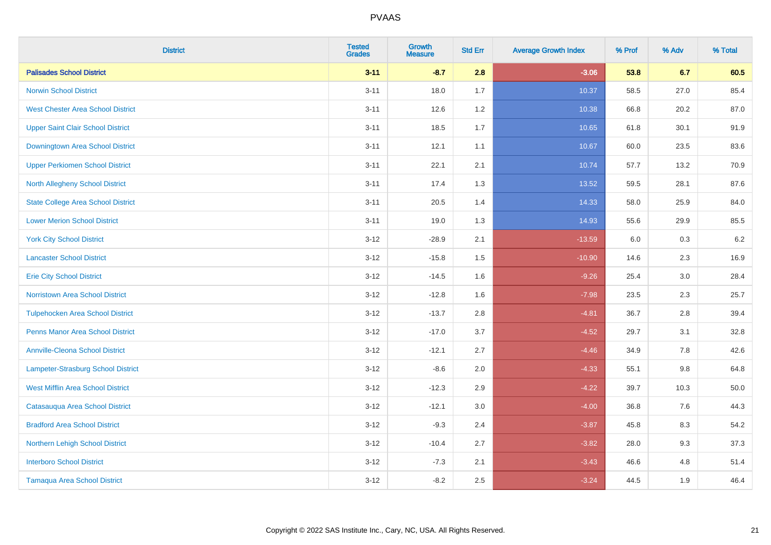| <b>District</b>                           | <b>Tested</b><br><b>Grades</b> | Growth<br><b>Measure</b> | <b>Std Err</b> | <b>Average Growth Index</b> | % Prof | % Adv   | % Total |
|-------------------------------------------|--------------------------------|--------------------------|----------------|-----------------------------|--------|---------|---------|
| <b>Palisades School District</b>          | $3 - 11$                       | $-8.7$                   | 2.8            | $-3.06$                     | 53.8   | 6.7     | 60.5    |
| <b>Norwin School District</b>             | $3 - 11$                       | 18.0                     | 1.7            | 10.37                       | 58.5   | 27.0    | 85.4    |
| <b>West Chester Area School District</b>  | $3 - 11$                       | 12.6                     | 1.2            | 10.38                       | 66.8   | 20.2    | 87.0    |
| <b>Upper Saint Clair School District</b>  | $3 - 11$                       | 18.5                     | 1.7            | 10.65                       | 61.8   | 30.1    | 91.9    |
| Downingtown Area School District          | $3 - 11$                       | 12.1                     | 1.1            | 10.67                       | 60.0   | 23.5    | 83.6    |
| <b>Upper Perkiomen School District</b>    | $3 - 11$                       | 22.1                     | 2.1            | 10.74                       | 57.7   | 13.2    | 70.9    |
| <b>North Allegheny School District</b>    | $3 - 11$                       | 17.4                     | 1.3            | 13.52                       | 59.5   | 28.1    | 87.6    |
| <b>State College Area School District</b> | $3 - 11$                       | 20.5                     | 1.4            | 14.33                       | 58.0   | 25.9    | 84.0    |
| <b>Lower Merion School District</b>       | $3 - 11$                       | 19.0                     | 1.3            | 14.93                       | 55.6   | 29.9    | 85.5    |
| <b>York City School District</b>          | $3 - 12$                       | $-28.9$                  | 2.1            | $-13.59$                    | 6.0    | 0.3     | $6.2\,$ |
| <b>Lancaster School District</b>          | $3 - 12$                       | $-15.8$                  | 1.5            | $-10.90$                    | 14.6   | 2.3     | 16.9    |
| <b>Erie City School District</b>          | $3 - 12$                       | $-14.5$                  | 1.6            | $-9.26$                     | 25.4   | 3.0     | 28.4    |
| Norristown Area School District           | $3 - 12$                       | $-12.8$                  | 1.6            | $-7.98$                     | 23.5   | 2.3     | 25.7    |
| <b>Tulpehocken Area School District</b>   | $3 - 12$                       | $-13.7$                  | 2.8            | $-4.81$                     | 36.7   | 2.8     | 39.4    |
| <b>Penns Manor Area School District</b>   | $3 - 12$                       | $-17.0$                  | 3.7            | $-4.52$                     | 29.7   | 3.1     | 32.8    |
| <b>Annville-Cleona School District</b>    | $3 - 12$                       | $-12.1$                  | 2.7            | $-4.46$                     | 34.9   | $7.8\,$ | 42.6    |
| Lampeter-Strasburg School District        | $3 - 12$                       | $-8.6$                   | 2.0            | $-4.33$                     | 55.1   | 9.8     | 64.8    |
| <b>West Mifflin Area School District</b>  | $3 - 12$                       | $-12.3$                  | 2.9            | $-4.22$                     | 39.7   | 10.3    | 50.0    |
| Catasauqua Area School District           | $3 - 12$                       | $-12.1$                  | 3.0            | $-4.00$                     | 36.8   | 7.6     | 44.3    |
| <b>Bradford Area School District</b>      | $3 - 12$                       | $-9.3$                   | 2.4            | $-3.87$                     | 45.8   | 8.3     | 54.2    |
| Northern Lehigh School District           | $3 - 12$                       | $-10.4$                  | 2.7            | $-3.82$                     | 28.0   | 9.3     | 37.3    |
| <b>Interboro School District</b>          | $3 - 12$                       | $-7.3$                   | 2.1            | $-3.43$                     | 46.6   | 4.8     | 51.4    |
| <b>Tamaqua Area School District</b>       | $3 - 12$                       | $-8.2$                   | 2.5            | $-3.24$                     | 44.5   | 1.9     | 46.4    |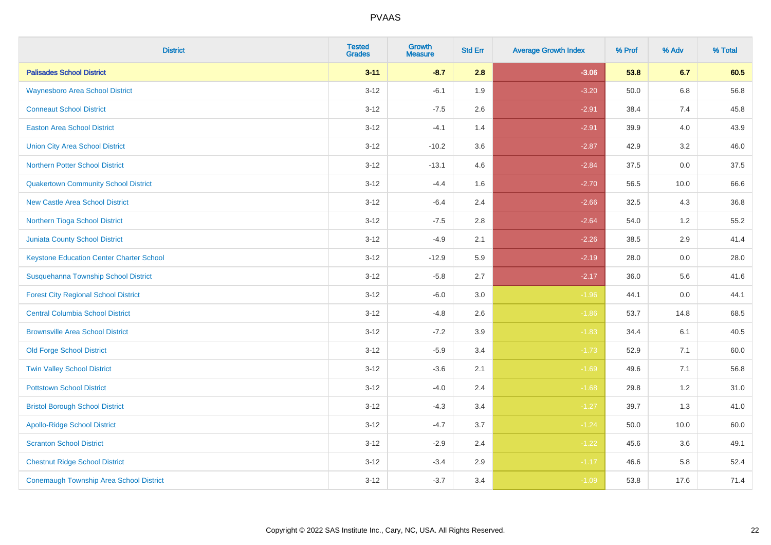| <b>District</b>                                 | <b>Tested</b><br><b>Grades</b> | <b>Growth</b><br><b>Measure</b> | <b>Std Err</b> | <b>Average Growth Index</b> | % Prof | % Adv   | % Total |
|-------------------------------------------------|--------------------------------|---------------------------------|----------------|-----------------------------|--------|---------|---------|
| <b>Palisades School District</b>                | $3 - 11$                       | $-8.7$                          | 2.8            | $-3.06$                     | 53.8   | 6.7     | 60.5    |
| <b>Waynesboro Area School District</b>          | $3 - 12$                       | $-6.1$                          | 1.9            | $-3.20$                     | 50.0   | $6.8\,$ | 56.8    |
| <b>Conneaut School District</b>                 | $3 - 12$                       | $-7.5$                          | 2.6            | $-2.91$                     | 38.4   | 7.4     | 45.8    |
| <b>Easton Area School District</b>              | $3 - 12$                       | $-4.1$                          | 1.4            | $-2.91$                     | 39.9   | 4.0     | 43.9    |
| <b>Union City Area School District</b>          | $3-12$                         | $-10.2$                         | 3.6            | $-2.87$                     | 42.9   | 3.2     | 46.0    |
| <b>Northern Potter School District</b>          | $3 - 12$                       | $-13.1$                         | 4.6            | $-2.84$                     | 37.5   | 0.0     | 37.5    |
| <b>Quakertown Community School District</b>     | $3-12$                         | $-4.4$                          | 1.6            | $-2.70$                     | 56.5   | 10.0    | 66.6    |
| <b>New Castle Area School District</b>          | $3 - 12$                       | $-6.4$                          | 2.4            | $-2.66$                     | 32.5   | 4.3     | 36.8    |
| Northern Tioga School District                  | $3 - 12$                       | $-7.5$                          | 2.8            | $-2.64$                     | 54.0   | 1.2     | 55.2    |
| <b>Juniata County School District</b>           | $3 - 12$                       | $-4.9$                          | 2.1            | $-2.26$                     | 38.5   | 2.9     | 41.4    |
| <b>Keystone Education Center Charter School</b> | $3 - 12$                       | $-12.9$                         | 5.9            | $-2.19$                     | 28.0   | 0.0     | 28.0    |
| Susquehanna Township School District            | $3 - 12$                       | $-5.8$                          | 2.7            | $-2.17$                     | 36.0   | 5.6     | 41.6    |
| <b>Forest City Regional School District</b>     | $3 - 12$                       | $-6.0$                          | $3.0\,$        | $-1.96$                     | 44.1   | $0.0\,$ | 44.1    |
| <b>Central Columbia School District</b>         | $3-12$                         | $-4.8$                          | 2.6            | $-1.86$                     | 53.7   | 14.8    | 68.5    |
| <b>Brownsville Area School District</b>         | $3 - 12$                       | $-7.2$                          | 3.9            | $-1.83$                     | 34.4   | 6.1     | 40.5    |
| <b>Old Forge School District</b>                | $3-12$                         | $-5.9$                          | 3.4            | $-1.73$                     | 52.9   | 7.1     | 60.0    |
| <b>Twin Valley School District</b>              | $3-12$                         | $-3.6$                          | 2.1            | $-1.69$                     | 49.6   | 7.1     | 56.8    |
| <b>Pottstown School District</b>                | $3 - 12$                       | $-4.0$                          | 2.4            | $-1.68$                     | 29.8   | 1.2     | 31.0    |
| <b>Bristol Borough School District</b>          | $3 - 12$                       | $-4.3$                          | 3.4            | $-1.27$                     | 39.7   | 1.3     | 41.0    |
| <b>Apollo-Ridge School District</b>             | $3-12$                         | $-4.7$                          | 3.7            | $-1.24$                     | 50.0   | 10.0    | 60.0    |
| <b>Scranton School District</b>                 | $3-12$                         | $-2.9$                          | 2.4            | $-1.22$                     | 45.6   | 3.6     | 49.1    |
| <b>Chestnut Ridge School District</b>           | $3 - 12$                       | $-3.4$                          | 2.9            | $-1.17$                     | 46.6   | 5.8     | 52.4    |
| <b>Conemaugh Township Area School District</b>  | $3-12$                         | $-3.7$                          | 3.4            | $-1.09$                     | 53.8   | 17.6    | 71.4    |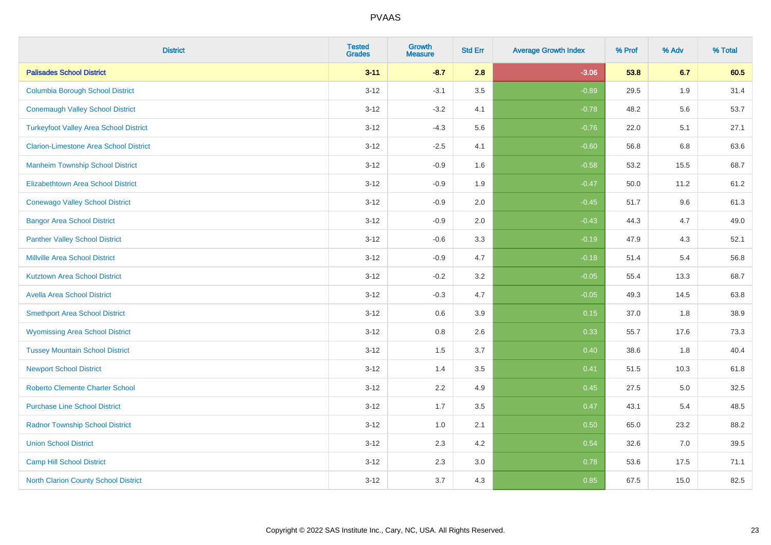| <b>District</b>                               | <b>Tested</b><br><b>Grades</b> | <b>Growth</b><br><b>Measure</b> | <b>Std Err</b> | <b>Average Growth Index</b> | % Prof | % Adv   | % Total |
|-----------------------------------------------|--------------------------------|---------------------------------|----------------|-----------------------------|--------|---------|---------|
| <b>Palisades School District</b>              | $3 - 11$                       | $-8.7$                          | 2.8            | $-3.06$                     | 53.8   | 6.7     | 60.5    |
| <b>Columbia Borough School District</b>       | $3 - 12$                       | $-3.1$                          | 3.5            | $-0.89$                     | 29.5   | 1.9     | 31.4    |
| <b>Conemaugh Valley School District</b>       | $3 - 12$                       | $-3.2$                          | 4.1            | $-0.78$                     | 48.2   | 5.6     | 53.7    |
| <b>Turkeyfoot Valley Area School District</b> | $3 - 12$                       | $-4.3$                          | 5.6            | $-0.76$                     | 22.0   | 5.1     | 27.1    |
| <b>Clarion-Limestone Area School District</b> | $3 - 12$                       | $-2.5$                          | 4.1            | $-0.60$                     | 56.8   | 6.8     | 63.6    |
| <b>Manheim Township School District</b>       | $3 - 12$                       | $-0.9$                          | 1.6            | $-0.58$                     | 53.2   | 15.5    | 68.7    |
| Elizabethtown Area School District            | $3 - 12$                       | $-0.9$                          | 1.9            | $-0.47$                     | 50.0   | 11.2    | 61.2    |
| <b>Conewago Valley School District</b>        | $3 - 12$                       | $-0.9$                          | 2.0            | $-0.45$                     | 51.7   | 9.6     | 61.3    |
| <b>Bangor Area School District</b>            | $3 - 12$                       | $-0.9$                          | 2.0            | $-0.43$                     | 44.3   | 4.7     | 49.0    |
| <b>Panther Valley School District</b>         | $3 - 12$                       | $-0.6$                          | 3.3            | $-0.19$                     | 47.9   | 4.3     | 52.1    |
| <b>Millville Area School District</b>         | $3 - 12$                       | $-0.9$                          | 4.7            | $-0.18$                     | 51.4   | 5.4     | 56.8    |
| <b>Kutztown Area School District</b>          | $3 - 12$                       | $-0.2$                          | 3.2            | $-0.05$                     | 55.4   | 13.3    | 68.7    |
| <b>Avella Area School District</b>            | $3 - 12$                       | $-0.3$                          | 4.7            | $-0.05$                     | 49.3   | 14.5    | 63.8    |
| <b>Smethport Area School District</b>         | $3 - 12$                       | 0.6                             | 3.9            | 0.15                        | 37.0   | 1.8     | 38.9    |
| <b>Wyomissing Area School District</b>        | $3 - 12$                       | $0.8\,$                         | 2.6            | 0.33                        | 55.7   | 17.6    | 73.3    |
| <b>Tussey Mountain School District</b>        | $3 - 12$                       | 1.5                             | 3.7            | 0.40                        | 38.6   | 1.8     | 40.4    |
| <b>Newport School District</b>                | $3 - 12$                       | 1.4                             | 3.5            | 0.41                        | 51.5   | 10.3    | 61.8    |
| <b>Roberto Clemente Charter School</b>        | $3 - 12$                       | 2.2                             | 4.9            | 0.45                        | 27.5   | $5.0\,$ | 32.5    |
| <b>Purchase Line School District</b>          | $3 - 12$                       | 1.7                             | 3.5            | 0.47                        | 43.1   | 5.4     | 48.5    |
| <b>Radnor Township School District</b>        | $3 - 12$                       | 1.0                             | 2.1            | 0.50                        | 65.0   | 23.2    | 88.2    |
| <b>Union School District</b>                  | $3 - 12$                       | 2.3                             | 4.2            | 0.54                        | 32.6   | 7.0     | 39.5    |
| <b>Camp Hill School District</b>              | $3 - 12$                       | 2.3                             | 3.0            | 0.78                        | 53.6   | 17.5    | 71.1    |
| <b>North Clarion County School District</b>   | $3 - 12$                       | 3.7                             | 4.3            | 0.85                        | 67.5   | 15.0    | 82.5    |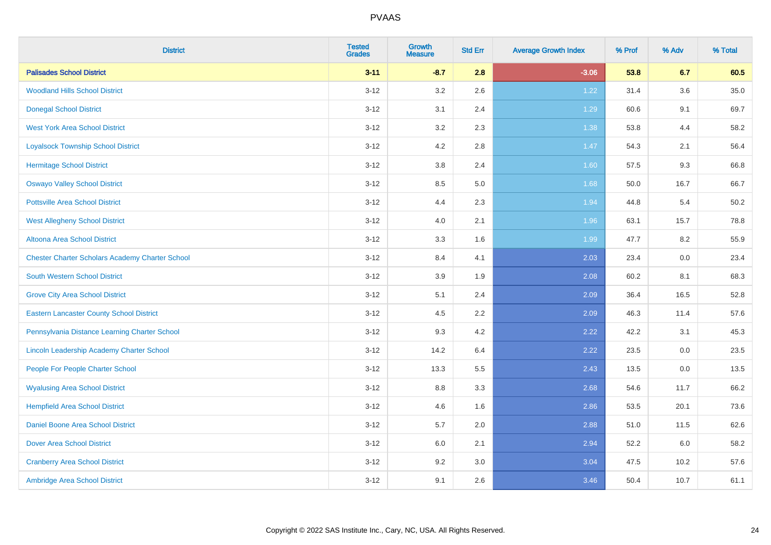| <b>District</b>                                        | <b>Tested</b><br><b>Grades</b> | <b>Growth</b><br><b>Measure</b> | <b>Std Err</b> | <b>Average Growth Index</b> | % Prof | % Adv | % Total |
|--------------------------------------------------------|--------------------------------|---------------------------------|----------------|-----------------------------|--------|-------|---------|
| <b>Palisades School District</b>                       | $3 - 11$                       | $-8.7$                          | 2.8            | $-3.06$                     | 53.8   | 6.7   | 60.5    |
| <b>Woodland Hills School District</b>                  | $3 - 12$                       | 3.2                             | 2.6            | 1.22                        | 31.4   | 3.6   | 35.0    |
| <b>Donegal School District</b>                         | $3 - 12$                       | 3.1                             | 2.4            | 1.29                        | 60.6   | 9.1   | 69.7    |
| <b>West York Area School District</b>                  | $3 - 12$                       | 3.2                             | 2.3            | 1.38                        | 53.8   | 4.4   | 58.2    |
| <b>Loyalsock Township School District</b>              | $3 - 12$                       | 4.2                             | 2.8            | 1.47                        | 54.3   | 2.1   | 56.4    |
| <b>Hermitage School District</b>                       | $3 - 12$                       | $3.8\,$                         | 2.4            | 1.60                        | 57.5   | 9.3   | 66.8    |
| <b>Oswayo Valley School District</b>                   | $3 - 12$                       | 8.5                             | 5.0            | 1.68                        | 50.0   | 16.7  | 66.7    |
| <b>Pottsville Area School District</b>                 | $3 - 12$                       | 4.4                             | 2.3            | 1.94                        | 44.8   | 5.4   | 50.2    |
| <b>West Allegheny School District</b>                  | $3 - 12$                       | 4.0                             | 2.1            | 1.96                        | 63.1   | 15.7  | 78.8    |
| Altoona Area School District                           | $3 - 12$                       | 3.3                             | 1.6            | 1.99                        | 47.7   | 8.2   | 55.9    |
| <b>Chester Charter Scholars Academy Charter School</b> | $3 - 12$                       | 8.4                             | 4.1            | 2.03                        | 23.4   | 0.0   | 23.4    |
| <b>South Western School District</b>                   | $3 - 12$                       | 3.9                             | 1.9            | 2.08                        | 60.2   | 8.1   | 68.3    |
| <b>Grove City Area School District</b>                 | $3 - 12$                       | 5.1                             | 2.4            | 2.09                        | 36.4   | 16.5  | 52.8    |
| <b>Eastern Lancaster County School District</b>        | $3 - 12$                       | 4.5                             | 2.2            | 2.09                        | 46.3   | 11.4  | 57.6    |
| Pennsylvania Distance Learning Charter School          | $3 - 12$                       | 9.3                             | 4.2            | 2.22                        | 42.2   | 3.1   | 45.3    |
| Lincoln Leadership Academy Charter School              | $3 - 12$                       | 14.2                            | 6.4            | 2.22                        | 23.5   | 0.0   | 23.5    |
| People For People Charter School                       | $3 - 12$                       | 13.3                            | 5.5            | 2.43                        | 13.5   | 0.0   | 13.5    |
| <b>Wyalusing Area School District</b>                  | $3 - 12$                       | $8.8\,$                         | 3.3            | 2.68                        | 54.6   | 11.7  | 66.2    |
| <b>Hempfield Area School District</b>                  | $3 - 12$                       | 4.6                             | 1.6            | 2.86                        | 53.5   | 20.1  | 73.6    |
| Daniel Boone Area School District                      | $3 - 12$                       | 5.7                             | 2.0            | 2.88                        | 51.0   | 11.5  | 62.6    |
| <b>Dover Area School District</b>                      | $3-12$                         | 6.0                             | 2.1            | 2.94                        | 52.2   | 6.0   | 58.2    |
| <b>Cranberry Area School District</b>                  | $3 - 12$                       | 9.2                             | 3.0            | 3.04                        | 47.5   | 10.2  | 57.6    |
| Ambridge Area School District                          | $3 - 12$                       | 9.1                             | 2.6            | 3.46                        | 50.4   | 10.7  | 61.1    |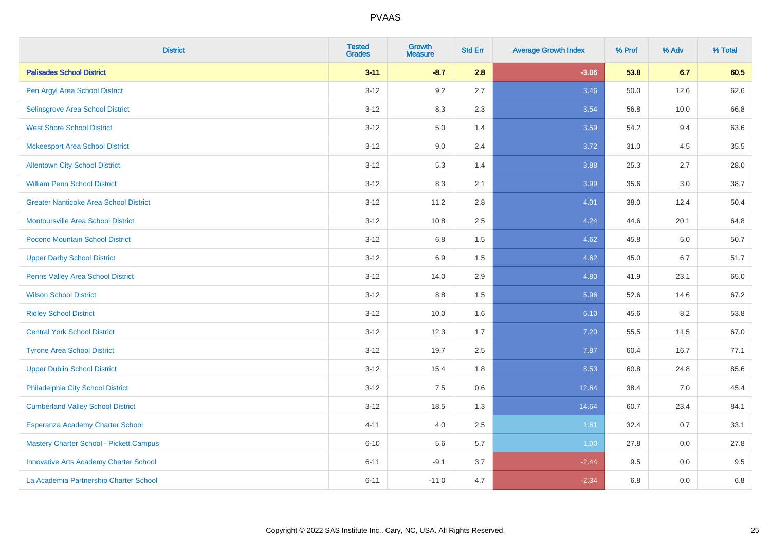| <b>District</b>                               | <b>Tested</b><br><b>Grades</b> | <b>Growth</b><br><b>Measure</b> | <b>Std Err</b> | <b>Average Growth Index</b> | % Prof | % Adv | % Total |
|-----------------------------------------------|--------------------------------|---------------------------------|----------------|-----------------------------|--------|-------|---------|
| <b>Palisades School District</b>              | $3 - 11$                       | $-8.7$                          | 2.8            | $-3.06$                     | 53.8   | 6.7   | 60.5    |
| Pen Argyl Area School District                | $3 - 12$                       | 9.2                             | 2.7            | 3.46                        | 50.0   | 12.6  | 62.6    |
| Selinsgrove Area School District              | $3 - 12$                       | 8.3                             | 2.3            | 3.54                        | 56.8   | 10.0  | 66.8    |
| <b>West Shore School District</b>             | $3 - 12$                       | $5.0\,$                         | 1.4            | 3.59                        | 54.2   | 9.4   | 63.6    |
| <b>Mckeesport Area School District</b>        | $3 - 12$                       | 9.0                             | 2.4            | 3.72                        | 31.0   | 4.5   | 35.5    |
| <b>Allentown City School District</b>         | $3 - 12$                       | 5.3                             | 1.4            | 3.88                        | 25.3   | 2.7   | 28.0    |
| <b>William Penn School District</b>           | $3 - 12$                       | 8.3                             | 2.1            | 3.99                        | 35.6   | 3.0   | 38.7    |
| <b>Greater Nanticoke Area School District</b> | $3 - 12$                       | 11.2                            | 2.8            | 4.01                        | 38.0   | 12.4  | 50.4    |
| <b>Montoursville Area School District</b>     | $3 - 12$                       | 10.8                            | 2.5            | 4.24                        | 44.6   | 20.1  | 64.8    |
| Pocono Mountain School District               | $3 - 12$                       | $6.8\,$                         | 1.5            | 4.62                        | 45.8   | 5.0   | 50.7    |
| <b>Upper Darby School District</b>            | $3 - 12$                       | 6.9                             | 1.5            | 4.62                        | 45.0   | 6.7   | 51.7    |
| Penns Valley Area School District             | $3 - 12$                       | 14.0                            | 2.9            | 4.80                        | 41.9   | 23.1  | 65.0    |
| <b>Wilson School District</b>                 | $3 - 12$                       | 8.8                             | 1.5            | 5.96                        | 52.6   | 14.6  | 67.2    |
| <b>Ridley School District</b>                 | $3 - 12$                       | 10.0                            | 1.6            | 6.10                        | 45.6   | 8.2   | 53.8    |
| <b>Central York School District</b>           | $3 - 12$                       | 12.3                            | 1.7            | 7.20                        | 55.5   | 11.5  | 67.0    |
| <b>Tyrone Area School District</b>            | $3 - 12$                       | 19.7                            | 2.5            | 7.87                        | 60.4   | 16.7  | 77.1    |
| <b>Upper Dublin School District</b>           | $3 - 12$                       | 15.4                            | 1.8            | 8.53                        | 60.8   | 24.8  | 85.6    |
| Philadelphia City School District             | $3 - 12$                       | 7.5                             | 0.6            | 12.64                       | 38.4   | 7.0   | 45.4    |
| <b>Cumberland Valley School District</b>      | $3 - 12$                       | 18.5                            | 1.3            | 14.64                       | 60.7   | 23.4  | 84.1    |
| Esperanza Academy Charter School              | $4 - 11$                       | 4.0                             | 2.5            | 1.61                        | 32.4   | 0.7   | 33.1    |
| Mastery Charter School - Pickett Campus       | $6 - 10$                       | 5.6                             | 5.7            | 1.00                        | 27.8   | 0.0   | 27.8    |
| <b>Innovative Arts Academy Charter School</b> | $6 - 11$                       | $-9.1$                          | 3.7            | $-2.44$                     | 9.5    | 0.0   | 9.5     |
| La Academia Partnership Charter School        | $6 - 11$                       | $-11.0$                         | 4.7            | $-2.34$                     | 6.8    | 0.0   | 6.8     |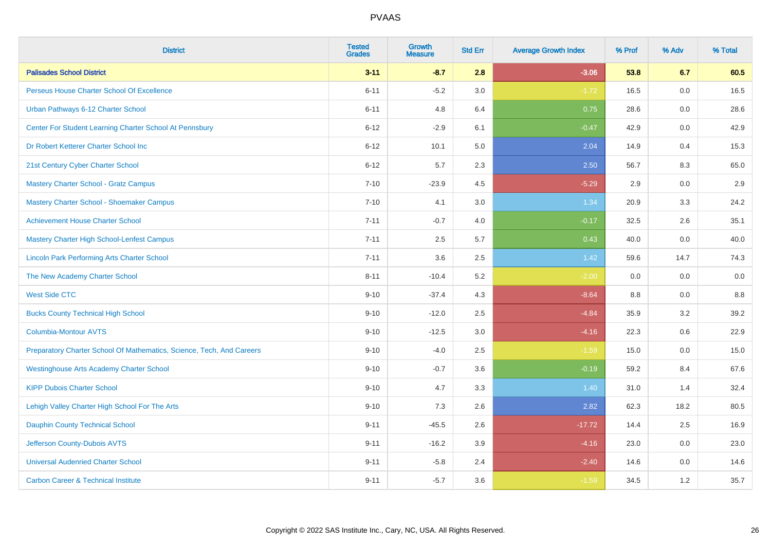| <b>District</b>                                                       | <b>Tested</b><br><b>Grades</b> | <b>Growth</b><br><b>Measure</b> | <b>Std Err</b> | <b>Average Growth Index</b> | % Prof | % Adv | % Total |
|-----------------------------------------------------------------------|--------------------------------|---------------------------------|----------------|-----------------------------|--------|-------|---------|
| <b>Palisades School District</b>                                      | $3 - 11$                       | $-8.7$                          | 2.8            | $-3.06$                     | 53.8   | 6.7   | 60.5    |
| Perseus House Charter School Of Excellence                            | $6 - 11$                       | $-5.2$                          | 3.0            | $-1.72$                     | 16.5   | 0.0   | 16.5    |
| Urban Pathways 6-12 Charter School                                    | $6 - 11$                       | 4.8                             | 6.4            | 0.75                        | 28.6   | 0.0   | 28.6    |
| Center For Student Learning Charter School At Pennsbury               | $6 - 12$                       | $-2.9$                          | 6.1            | $-0.47$                     | 42.9   | 0.0   | 42.9    |
| Dr Robert Ketterer Charter School Inc                                 | $6 - 12$                       | 10.1                            | 5.0            | 2.04                        | 14.9   | 0.4   | 15.3    |
| 21st Century Cyber Charter School                                     | $6 - 12$                       | 5.7                             | 2.3            | 2.50                        | 56.7   | 8.3   | 65.0    |
| Mastery Charter School - Gratz Campus                                 | $7 - 10$                       | $-23.9$                         | 4.5            | $-5.29$                     | 2.9    | 0.0   | 2.9     |
| Mastery Charter School - Shoemaker Campus                             | $7 - 10$                       | 4.1                             | 3.0            | 1.34                        | 20.9   | 3.3   | 24.2    |
| <b>Achievement House Charter School</b>                               | $7 - 11$                       | $-0.7$                          | 4.0            | $-0.17$                     | 32.5   | 2.6   | 35.1    |
| <b>Mastery Charter High School-Lenfest Campus</b>                     | $7 - 11$                       | 2.5                             | 5.7            | 0.43                        | 40.0   | 0.0   | 40.0    |
| <b>Lincoln Park Performing Arts Charter School</b>                    | $7 - 11$                       | 3.6                             | 2.5            | 1.42                        | 59.6   | 14.7  | 74.3    |
| The New Academy Charter School                                        | $8 - 11$                       | $-10.4$                         | 5.2            | $-2.00$                     | 0.0    | 0.0   | 0.0     |
| <b>West Side CTC</b>                                                  | $9 - 10$                       | $-37.4$                         | 4.3            | $-8.64$                     | 8.8    | 0.0   | 8.8     |
| <b>Bucks County Technical High School</b>                             | $9 - 10$                       | $-12.0$                         | 2.5            | $-4.84$                     | 35.9   | 3.2   | 39.2    |
| <b>Columbia-Montour AVTS</b>                                          | $9 - 10$                       | $-12.5$                         | 3.0            | $-4.16$                     | 22.3   | 0.6   | 22.9    |
| Preparatory Charter School Of Mathematics, Science, Tech, And Careers | $9 - 10$                       | $-4.0$                          | 2.5            | $-1.59$                     | 15.0   | 0.0   | 15.0    |
| <b>Westinghouse Arts Academy Charter School</b>                       | $9 - 10$                       | $-0.7$                          | 3.6            | $-0.19$                     | 59.2   | 8.4   | 67.6    |
| <b>KIPP Dubois Charter School</b>                                     | $9 - 10$                       | 4.7                             | 3.3            | 1.40                        | 31.0   | 1.4   | 32.4    |
| Lehigh Valley Charter High School For The Arts                        | $9 - 10$                       | 7.3                             | 2.6            | 2.82                        | 62.3   | 18.2  | 80.5    |
| <b>Dauphin County Technical School</b>                                | $9 - 11$                       | $-45.5$                         | 2.6            | $-17.72$                    | 14.4   | 2.5   | 16.9    |
| Jefferson County-Dubois AVTS                                          | $9 - 11$                       | $-16.2$                         | 3.9            | $-4.16$                     | 23.0   | 0.0   | 23.0    |
| <b>Universal Audenried Charter School</b>                             | $9 - 11$                       | $-5.8$                          | 2.4            | $-2.40$                     | 14.6   | 0.0   | 14.6    |
| <b>Carbon Career &amp; Technical Institute</b>                        | $9 - 11$                       | $-5.7$                          | 3.6            | $-1.59$                     | 34.5   | 1.2   | 35.7    |